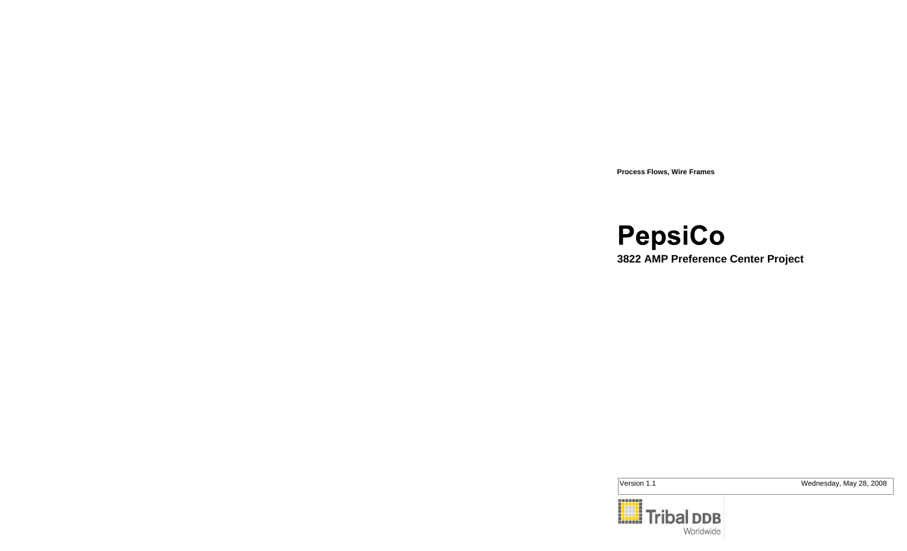**Process Flows, Wire Frames**

PepsiCo **3822 AMP Preference Center Project**

Version 1.1 Wednesday, May 28, 2008

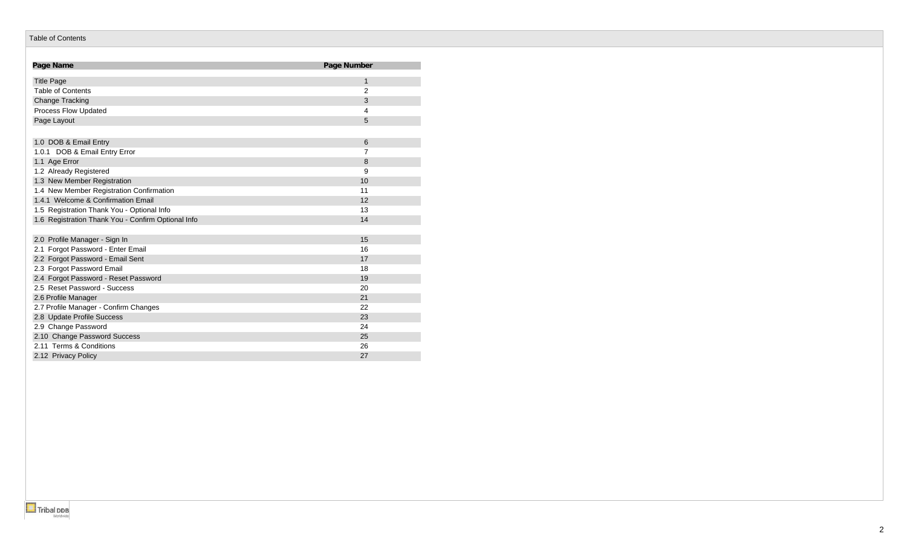#### Table of Contents

| Page Name                                          | Page Number    |
|----------------------------------------------------|----------------|
| <b>Title Page</b>                                  | 1              |
| <b>Table of Contents</b>                           | $\overline{2}$ |
| <b>Change Tracking</b>                             | 3              |
| Process Flow Updated                               | 4              |
| Page Layout                                        | 5              |
|                                                    |                |
| 1.0 DOB & Email Entry                              | 6              |
| 1.0.1 DOB & Email Entry Error                      | 7              |
| 1.1 Age Error                                      | 8              |
| 1.2 Already Registered                             | 9              |
| 1.3 New Member Registration                        | 10             |
| 1.4 New Member Registration Confirmation           | 11             |
| 1.4.1 Welcome & Confirmation Email                 | 12             |
| 1.5 Registration Thank You - Optional Info         | 13             |
| 1.6 Registration Thank You - Confirm Optional Info | 14             |
|                                                    |                |
| 2.0 Profile Manager - Sign In                      | 15             |
| 2.1 Forgot Password - Enter Email                  | 16             |
| 2.2 Forgot Password - Email Sent                   | 17             |
| 2.3 Forgot Password Email                          | 18             |
| 2.4 Forgot Password - Reset Password               | 19             |
| 2.5 Reset Password - Success                       | 20             |
| 2.6 Profile Manager                                | 21             |
| 2.7 Profile Manager - Confirm Changes              | 22             |
| 2.8 Update Profile Success                         | 23             |
| 2.9 Change Password                                | 24             |
| 2.10 Change Password Success                       | 25             |
| 2.11 Terms & Conditions                            | 26             |
| 2.12 Privacy Policy                                | 27             |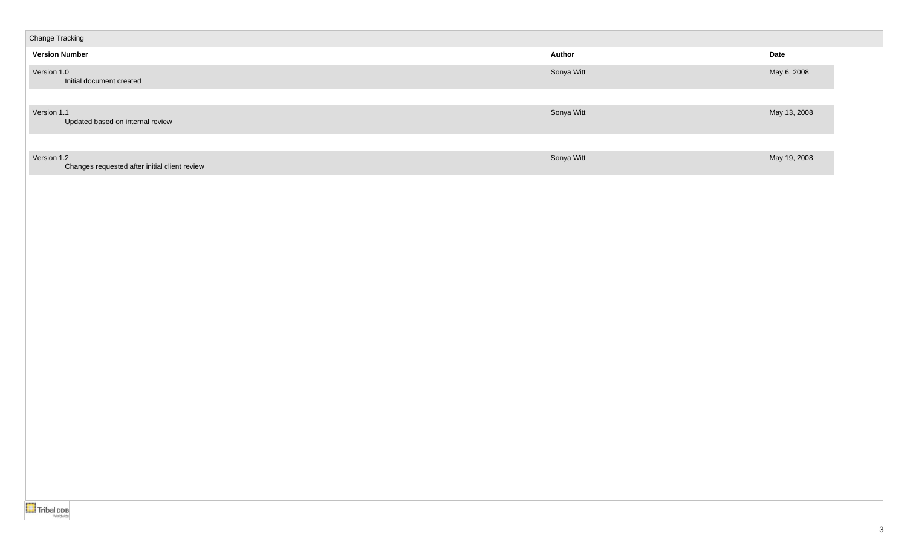| <b>Change Tracking</b>                                       |               |              |
|--------------------------------------------------------------|---------------|--------------|
| <b>Version Number</b>                                        | <b>Author</b> | Date         |
| Version 1.0<br>Initial document created                      | Sonya Witt    | May 6, 2008  |
|                                                              |               |              |
| Version 1.1<br>Updated based on internal review              | Sonya Witt    | May 13, 2008 |
|                                                              |               |              |
| Version 1.2<br>Changes requested after initial client review | Sonya Witt    | May 19, 2008 |
|                                                              |               |              |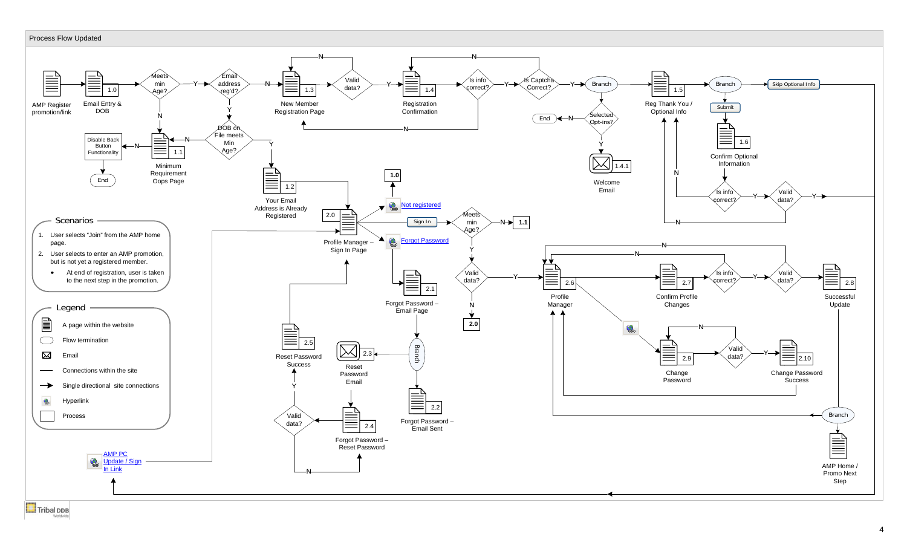### Process Flow Updated

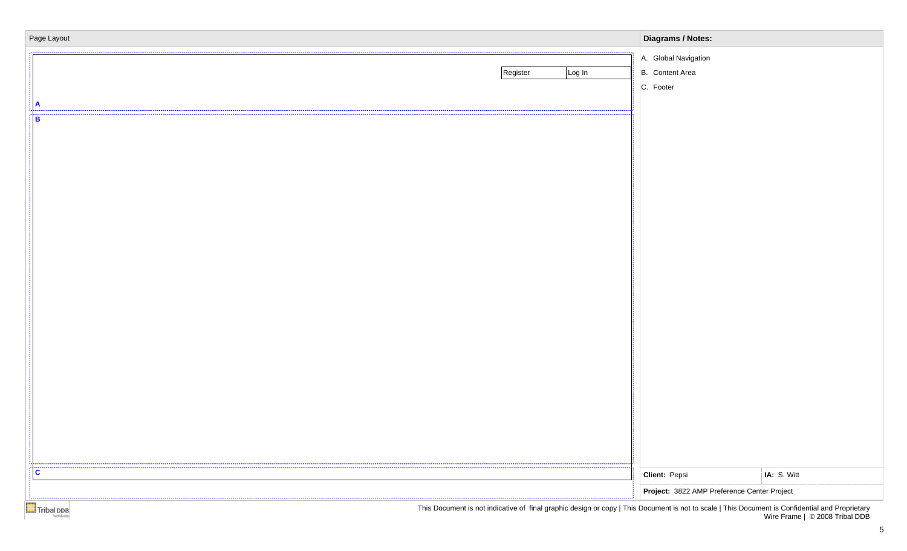| Page Layout        | <b>Diagrams / Notes:</b>                                                                                                                      |  |
|--------------------|-----------------------------------------------------------------------------------------------------------------------------------------------|--|
| Register<br>Log In | A. Global Navigation<br>B. Content Area<br>C. Footer                                                                                          |  |
| в                  |                                                                                                                                               |  |
|                    |                                                                                                                                               |  |
|                    |                                                                                                                                               |  |
|                    |                                                                                                                                               |  |
|                    |                                                                                                                                               |  |
|                    |                                                                                                                                               |  |
|                    |                                                                                                                                               |  |
|                    |                                                                                                                                               |  |
|                    |                                                                                                                                               |  |
| <br>C              | Client: Pepsi<br>IA: S. Witt<br>Project: 3822 AMP Preference Center Project                                                                   |  |
|                    | This Decument is not indicative of final graphic decime ar copy UThis Decument is not to soole UThis Decument is Confidential and Proprietary |  |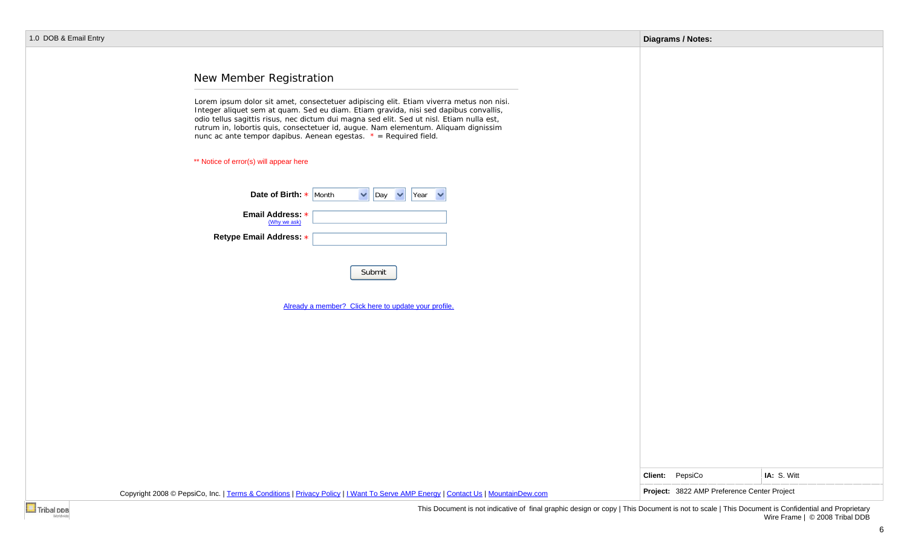|  |  |  | 1.0 DOB & Email Entry |  |
|--|--|--|-----------------------|--|
|--|--|--|-----------------------|--|

|                  |                                                                                                                                                                                                                                                                                                                                                                                                                                                                                                                                                                                                                                                                                                                           | <b>Diagrams / Notes:</b>                    |             |
|------------------|---------------------------------------------------------------------------------------------------------------------------------------------------------------------------------------------------------------------------------------------------------------------------------------------------------------------------------------------------------------------------------------------------------------------------------------------------------------------------------------------------------------------------------------------------------------------------------------------------------------------------------------------------------------------------------------------------------------------------|---------------------------------------------|-------------|
| OB & Email Entry | New Member Registration<br>Lorem ipsum dolor sit amet, consectetuer adipiscing elit. Etiam viverra metus non nisi.<br>Integer aliquet sem at quam. Sed eu diam. Etiam gravida, nisi sed dapibus convallis,<br>odio tellus sagittis risus, nec dictum dui magna sed elit. Sed ut nisl. Etiam nulla est,<br>rutrum in, lobortis quis, consectetuer id, augue. Nam elementum. Aliquam dignissim<br>nunc ac ante tempor dapibus. Aenean egestas. $* = Required field$ .<br>** Notice of error(s) will appear here<br>$\vee$ Day $\vee$<br><b>Date of Birth:</b> $\star$ Month<br>Year $\vee$<br>Email Address: *<br>(Why we ask)<br>Retype Email Address: *<br>Submit<br>Already a member? Click here to update your profile. |                                             |             |
|                  |                                                                                                                                                                                                                                                                                                                                                                                                                                                                                                                                                                                                                                                                                                                           |                                             |             |
|                  |                                                                                                                                                                                                                                                                                                                                                                                                                                                                                                                                                                                                                                                                                                                           | Client: PepsiCo                             | IA: S. Witt |
|                  | Copyright 2008 © PepsiCo, Inc.   Terms & Conditions   Privacy Policy   I Want To Serve AMP Energy   Contact Us   MountainDew.com                                                                                                                                                                                                                                                                                                                                                                                                                                                                                                                                                                                          | Project: 3822 AMP Preference Center Project |             |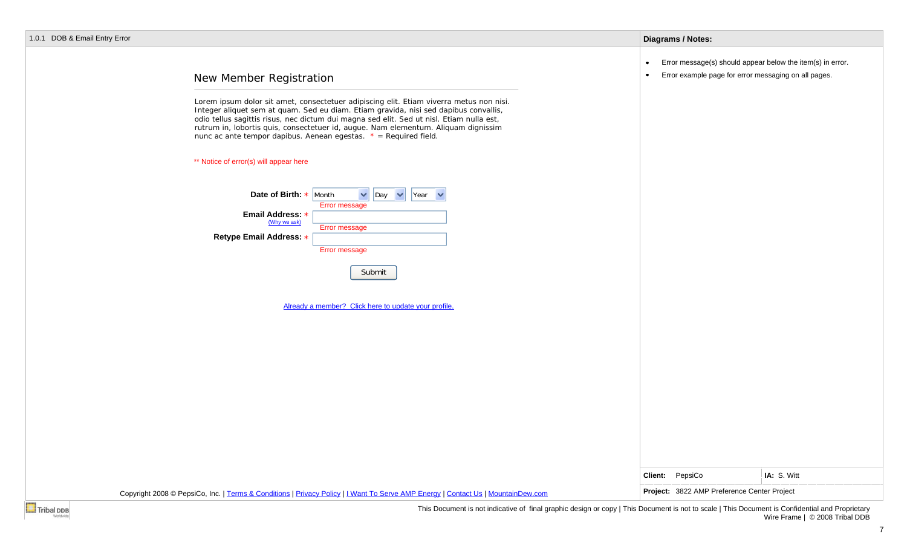|  |  |  |  | 1.0.1 DOB & Email Entry Error |  |  |
|--|--|--|--|-------------------------------|--|--|
|--|--|--|--|-------------------------------|--|--|

### **Diagrams / Notes:**

- $\bullet$ Error message(s) should appear below the item(s) in error.
- Error example page for error messaging on all pages. $\bullet$

# New Member Registration

Lorem ipsum dolor sit amet, consectetuer adipiscing elit. Etiam viverra metus non nisi. Integer aliquet sem at quam. Sed eu diam. Etiam gravida, nisi sed dapibus convallis, odio tellus sagittis risus, nec dictum dui magna sed elit. Sed ut nisl. Etiam nulla est, rutrum in, lobortis quis, consectetuer id, augue. Nam elementum. Aliquam dignissim nunc ac ante tempor dapibus. Aenean egestas. *\* = Required field.*

\*\* Notice of error(s) will appear here

| Date of Birth: $\star$ Month     |               | Day | Year |  |
|----------------------------------|---------------|-----|------|--|
|                                  | Error message |     |      |  |
| Email Address: *<br>(Why we ask) |               |     |      |  |
|                                  | Error message |     |      |  |
| Retype Email Address: *          |               |     |      |  |
|                                  | Error message |     |      |  |

Submit

Already a member? Click here to update your profile.

| Copyright 2008 © PepsiCo, Inc.   Terms & Conditions   Privacy Policy   I Want To Serve AMP Energy   Contact Us   MountainDew.com | Project: 3822 AMP Preference Center Project |             |
|----------------------------------------------------------------------------------------------------------------------------------|---------------------------------------------|-------------|
|                                                                                                                                  | <b>Client:</b> PepsiCo                      | IA: S. Witt |
|                                                                                                                                  |                                             |             |
|                                                                                                                                  |                                             |             |
|                                                                                                                                  |                                             |             |
|                                                                                                                                  |                                             |             |
|                                                                                                                                  |                                             |             |
|                                                                                                                                  |                                             |             |
|                                                                                                                                  |                                             |             |
|                                                                                                                                  |                                             |             |

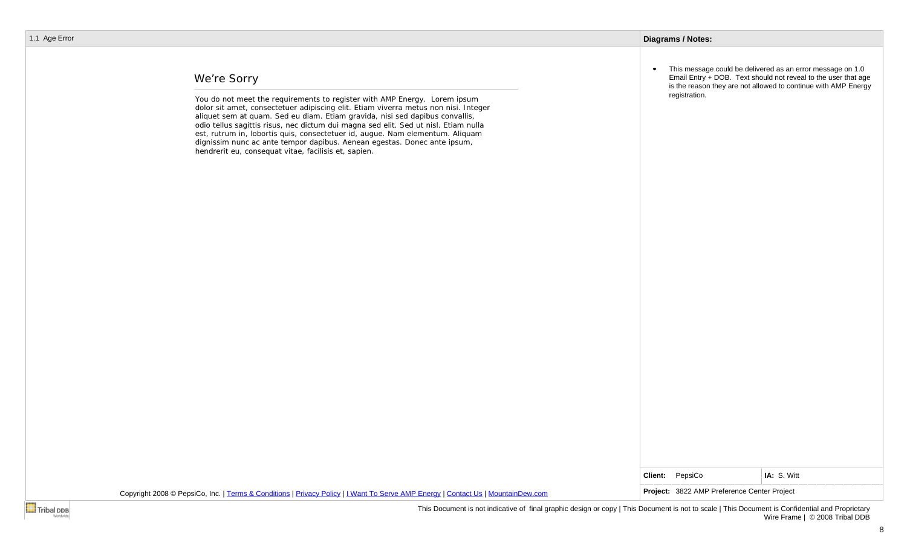# We're Sorry

You do not meet the requirements to register with AMP Energy. Lorem ipsum dolor sit amet, consectetuer adipiscing elit. Etiam viverra metus non nisi. Integer aliquet sem at quam. Sed eu diam. Etiam gravida, nisi sed dapibus convallis, odio tellus sagittis risus, nec dictum dui magna sed elit. Sed ut nisl. Etiam nulla est, rutrum in, lobortis quis, consectetuer id, augue. Nam elementum. Aliquam dignissim nunc ac ante tempor dapibus. Aenean egestas. Donec ante ipsum, hendrerit eu, consequat vitae, facilisis et, sapien.

• This message could be delivered as an error message on 1.0 Email Entry + DOB. Text should not reveal to the user that age is the reason they are not allowed to continue with AMP Energy registration.

|                                                                                                                                  | <b>Client:</b> PepsiCo                      | <b>IA: S. Witt</b> |
|----------------------------------------------------------------------------------------------------------------------------------|---------------------------------------------|--------------------|
| Copyright 2008 © PepsiCo, Inc.   Terms & Conditions   Privacy Policy   I Want To Serve AMP Energy   Contact Us   MountainDew.com | Project: 3822 AMP Preference Center Project |                    |

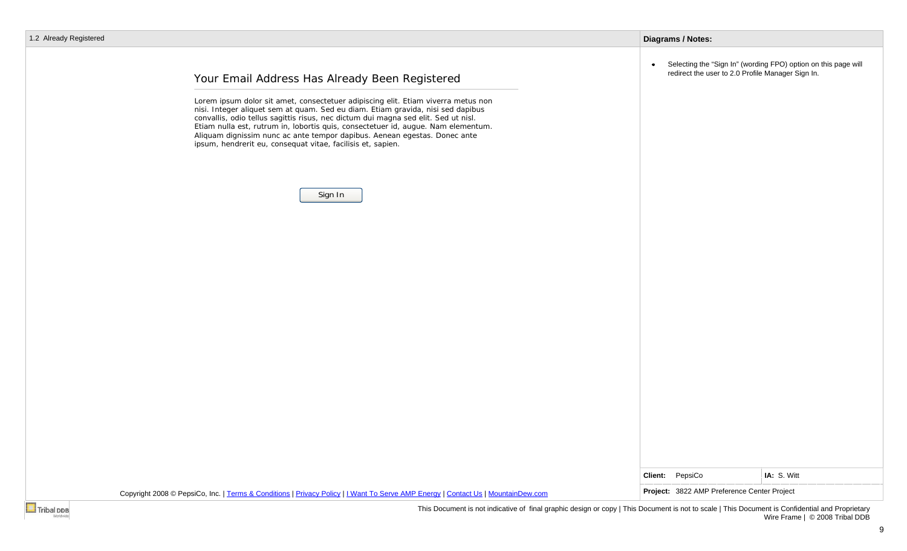### **Diagrams / Notes:**

• Selecting the "Sign In" (wording FPO) option on this page will redirect the user to 2.0 Profile Manager Sign In.

# Your Email Address Has Already Been Registered

Lorem ipsum dolor sit amet, consectetuer adipiscing elit. Etiam viverra metus non nisi. Integer aliquet sem at quam. Sed eu diam. Etiam gravida, nisi sed dapibus convallis, odio tellus sagittis risus, nec dictum dui magna sed elit. Sed ut nisl. Etiam nulla est, rutrum in, lobortis quis, consectetuer id, augue. Nam elementum. Aliquam dignissim nunc ac ante tempor dapibus. Aenean egestas. Donec ante ipsum, hendrerit eu, consequat vitae, facilisis et, sapien.



|  |  | Client: PepsiCo | IA: S. Witt |  |
|--|--|-----------------|-------------|--|

9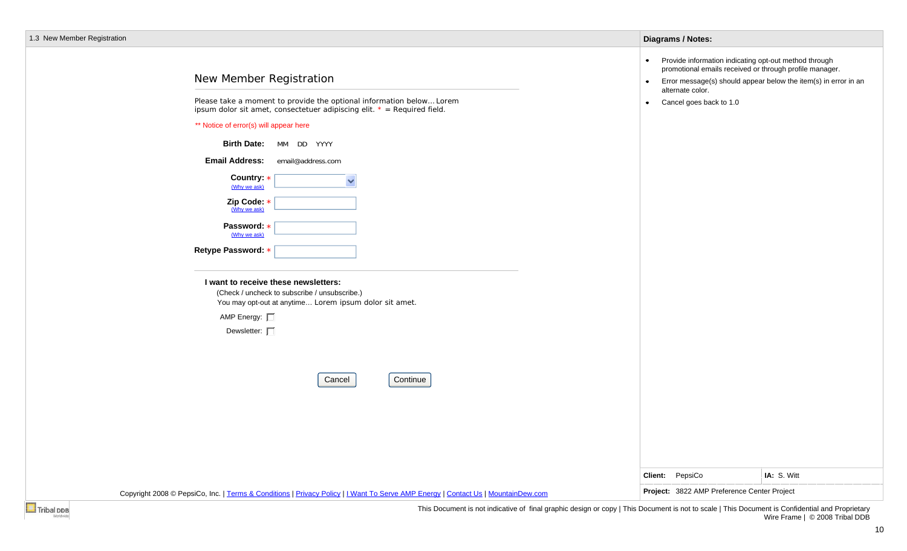|  |  |  | 1.3 New Member Registration |
|--|--|--|-----------------------------|
|--|--|--|-----------------------------|

| .3 New Member Registration                                                                                                                                                                                                                                                                                                                                                                                                                                                                                                                                                                                                                                  | <b>Diagrams / Notes:</b>                                                                                                                                                                                                  |                                                                                |
|-------------------------------------------------------------------------------------------------------------------------------------------------------------------------------------------------------------------------------------------------------------------------------------------------------------------------------------------------------------------------------------------------------------------------------------------------------------------------------------------------------------------------------------------------------------------------------------------------------------------------------------------------------------|---------------------------------------------------------------------------------------------------------------------------------------------------------------------------------------------------------------------------|--------------------------------------------------------------------------------|
| New Member Registration<br>Please take a moment to provide the optional information below Lorem<br>ipsum dolor sit amet, consectetuer adipiscing elit. $* = Required$ field.<br>** Notice of error(s) will appear here<br>Birth Date: MM DD YYYY<br><b>Email Address:</b><br>email@address.com<br>Country: *<br>$\ddot{\phantom{0}}$<br>(Why we ask)<br>Zip Code: *<br>(Why we ask)<br>Password: *<br>(Why we ask)<br>Retype Password: *<br>I want to receive these newsletters:<br>(Check / uncheck to subscribe / unsubscribe.)<br>You may opt-out at anytime Lorem ipsum dolor sit amet.<br>AMP Energy: 口<br>Dewsletter: $\square$<br>Continue<br>Cancel | Provide information indicating opt-out method through<br>$\bullet$<br>promotional emails received or through profile manager.<br>$\bullet$<br>alternate color.<br>Cancel goes back to 1.0<br>$\bullet$<br>Client: PepsiCo | Error message(s) should appear below the item(s) in error in an<br>IA: S. Witt |
|                                                                                                                                                                                                                                                                                                                                                                                                                                                                                                                                                                                                                                                             | Project: 3822 AMP Preference Center Project                                                                                                                                                                               |                                                                                |
| Copyright 2008 © PepsiCo, Inc.   Terms & Conditions   Privacy Policy   I Want To Serve AMP Energy   Contact Us   MountainDew.com                                                                                                                                                                                                                                                                                                                                                                                                                                                                                                                            |                                                                                                                                                                                                                           |                                                                                |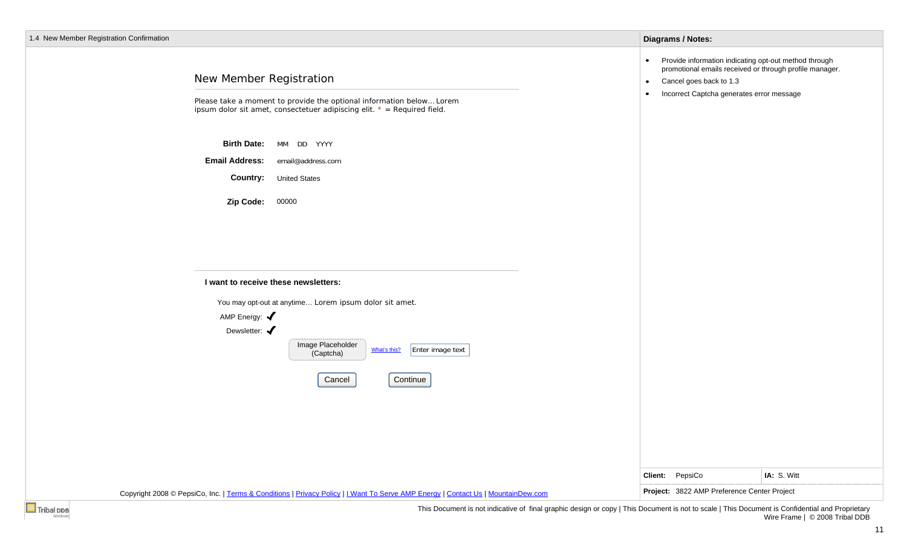| 1.4 New Member Registration Confirmation |                                                                                                                                                                                            | <b>Diagrams / Notes:</b>                                                                                                                                                                                                |
|------------------------------------------|--------------------------------------------------------------------------------------------------------------------------------------------------------------------------------------------|-------------------------------------------------------------------------------------------------------------------------------------------------------------------------------------------------------------------------|
|                                          | New Member Registration<br>Please take a moment to provide the optional information below Lorem<br>ipsum dolor sit amet, consectetuer adipiscing elit. $* = Required$ field.               | Provide information indicating opt-out method through<br>$\bullet$<br>promotional emails received or through profile manager.<br>Cancel goes back to 1.3<br>$\bullet$<br>Incorrect Captcha generates error message<br>۰ |
|                                          | <b>Birth Date:</b><br>MM DD YYYY<br><b>Email Address:</b><br>email@address.com<br><b>Country:</b><br><b>United States</b>                                                                  |                                                                                                                                                                                                                         |
|                                          | 00000<br>Zip Code:                                                                                                                                                                         |                                                                                                                                                                                                                         |
|                                          | I want to receive these newsletters:                                                                                                                                                       |                                                                                                                                                                                                                         |
|                                          | You may opt-out at anytime Lorem ipsum dolor sit amet.<br>AMP Energy: $\blacklozenge$<br>Dewsletter: $\blacklozenge$<br>Image Placeholder<br>Enter image text<br>What's this?<br>(Captcha) |                                                                                                                                                                                                                         |
|                                          | Continue<br>Cancel                                                                                                                                                                         |                                                                                                                                                                                                                         |
|                                          |                                                                                                                                                                                            |                                                                                                                                                                                                                         |
|                                          |                                                                                                                                                                                            | Client: PepsiCo<br>IA: S. Witt                                                                                                                                                                                          |
|                                          | Copyright 2008 © PepsiCo, Inc.   Terms & Conditions   Privacy Policy   I Want To Serve AMP Energy   Contact Us   MountainDew.com                                                           | Project: 3822 AMP Preference Center Project                                                                                                                                                                             |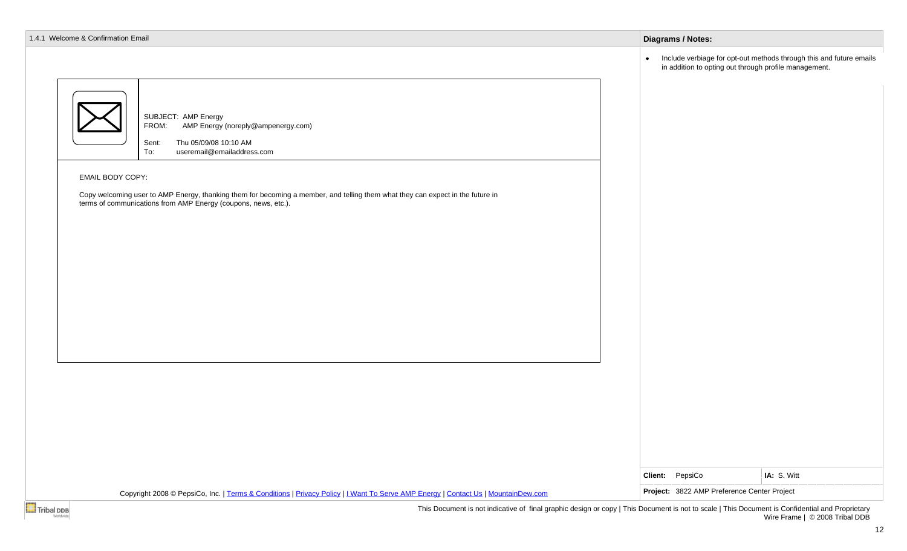| 1.4.1 Welcome & Confirmation Email                                                                                                                                                                                                                                                                                                                                       | <b>Diagrams / Notes:</b>                                                                                                               |
|--------------------------------------------------------------------------------------------------------------------------------------------------------------------------------------------------------------------------------------------------------------------------------------------------------------------------------------------------------------------------|----------------------------------------------------------------------------------------------------------------------------------------|
|                                                                                                                                                                                                                                                                                                                                                                          | Include verbiage for opt-out methods through this and future emails in addition to opting out through profile management.<br>$\bullet$ |
| SUBJECT: AMP Energy<br>AMP Energy (noreply@ampenergy.com)<br>FROM:<br>Thu 05/09/08 10:10 AM<br>Sent:<br>useremail@emailaddress.com<br>To:<br><b>EMAIL BODY COPY:</b><br>Copy welcoming user to AMP Energy, thanking them for becoming a member, and telling them what they can expect in the future in<br>terms of communications from AMP Energy (coupons, news, etc.). |                                                                                                                                        |
|                                                                                                                                                                                                                                                                                                                                                                          |                                                                                                                                        |
|                                                                                                                                                                                                                                                                                                                                                                          |                                                                                                                                        |
| Copyright 2008 © PepsiCo, Inc.   Terms & Conditions   Privacy Policy   I Want To Serve AMP Energy   Contact Us   MountainDew.com                                                                                                                                                                                                                                         | Client: PepsiCo<br>IA: S. Witt<br>Project: 3822 AMP Preference Center Project                                                          |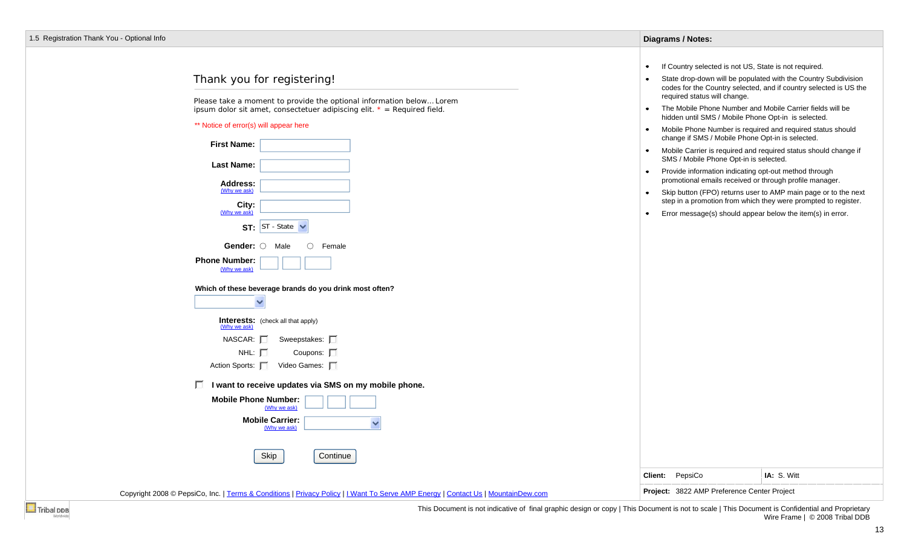### Thank you for registering!

Please take a moment to provide the optional information below… Lorem ipsum dolor sit amet, consectetuer adipiscing elit. *\* = Required field.*

#### \*\* Notice of error(s) will appear here

 $\Box$ 

| <b>First Name:</b>                                       |
|----------------------------------------------------------|
| Last Name:                                               |
| Address:<br>(Why we ask)                                 |
| City:<br>(Why we ask)                                    |
| ST - State<br>ST:                                        |
| <b>Gender:</b> $\bigcirc$ Male<br>$\bigcap$ Female       |
| <b>Phone Number:</b><br>(Why we ask)                     |
| Which of these beverage brands do you drink most often?  |
| <b>Interests:</b> (check all that apply)<br>(Why we ask) |
| $NASCAR: \Box Sweepstakes:$                              |
| $NHL: \mathbb{F}$<br>Coupons: $\Box$                     |
| Action Sports:   Video Games:                            |
| I want to receive updates via SMS on my mobile phone.    |
| <b>Mobile Phone Number:</b>                              |

| e Phone Number:<br>(Why we ask)        |  |
|----------------------------------------|--|
| <b>Mobile Carrier:</b><br>(Why we ask) |  |
|                                        |  |

Skip Continue

Copyright 2008 © PepsiCo, Inc. | Terms & Conditions | Privacy Policy | I Want To Serve AMP Energy | Contact Us | MountainDew.com **Project: 3822 AMP Preference Center Project** 

| Diagrams / Notes: |  |
|-------------------|--|
|-------------------|--|

- If Country selected is not US, State is not required.  $\bullet$
- $\bullet$ State drop-down will be populated with the Country Subdivision codes for the Country selected, and if country selected is US the required status will change.
- $\bullet$ The Mobile Phone Number and Mobile Carrier fields will be hidden until SMS / Mobile Phone Opt-in is selected.
- $\bullet$  . Mobile Phone Number is required and required status should change if SMS / Mobile Phone Opt-in is selected.
- Mobile Carrier is required and required status should change if SMS / Mobile Phone Opt-in is selected.
- Provide information indicating opt-out method through promotional emails received or through profile manager.
- Skip button (FPO) returns user to AMP main page or to the next  $\bullet$ step in a promotion from which they were prompted to register.
- Error message(s) should appear below the item(s) in error.

**Client:** PepsiCo **IA:** S. Witt



This Document is not indicative of final graphic design or copy | This Document is not to scale | This Document is Confidential and Proprietary Wire Frame | © 2008 Tribal DDB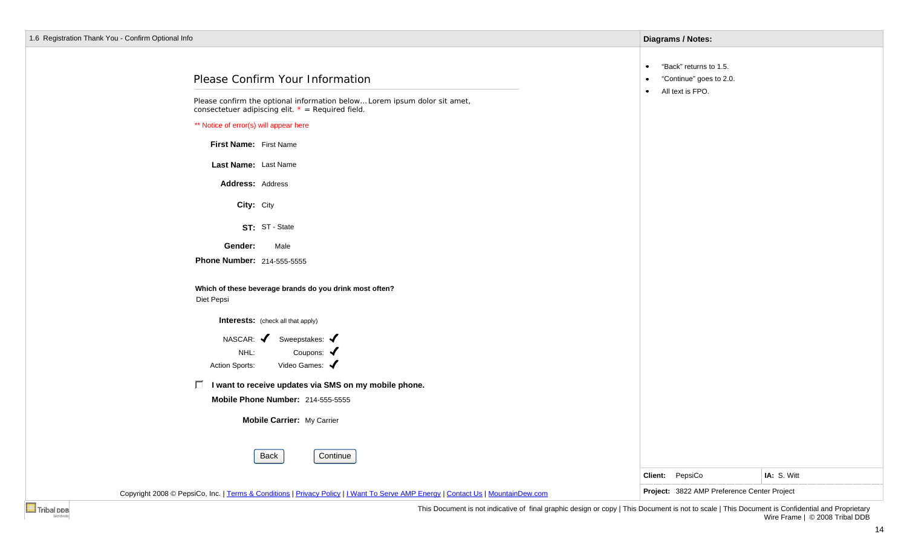| 1.6 Registration Thank You - Confirm Optional Info                                                                                 | <b>Diagrams / Notes:</b>                                       |             |
|------------------------------------------------------------------------------------------------------------------------------------|----------------------------------------------------------------|-------------|
| Please Confirm Your Information                                                                                                    | "Back" returns to 1.5.<br>$\bullet$<br>"Continue" goes to 2.0. |             |
| Please confirm the optional information below Lorem ipsum dolor sit amet,<br>consectetuer adipiscing elit. $* = Required field$ .  | All text is FPO.<br>$\bullet$                                  |             |
| ** Notice of error(s) will appear here                                                                                             |                                                                |             |
| First Name: First Name                                                                                                             |                                                                |             |
| Last Name: Last Name                                                                                                               |                                                                |             |
| Address: Address                                                                                                                   |                                                                |             |
| City: City                                                                                                                         |                                                                |             |
| ST: ST - State                                                                                                                     |                                                                |             |
| Gender:<br>Male                                                                                                                    |                                                                |             |
| <b>Phone Number: 214-555-5555</b>                                                                                                  |                                                                |             |
| Which of these beverage brands do you drink most often?<br>Diet Pepsi                                                              |                                                                |             |
| <b>Interests:</b> (check all that apply)                                                                                           |                                                                |             |
| NASCAR: $\blacktriangledown$<br>Sweepstakes: $\blacklozenge$<br>Coupons: $\blacklozenge$<br>NHL:<br>Video Games:<br>Action Sports: |                                                                |             |
| □ I want to receive updates via SMS on my mobile phone.                                                                            |                                                                |             |
| Mobile Phone Number: 214-555-5555                                                                                                  |                                                                |             |
| Mobile Carrier: My Carrier                                                                                                         |                                                                |             |
| Back<br>Continue                                                                                                                   |                                                                |             |
|                                                                                                                                    | Client: PepsiCo                                                | IA: S. Witt |
| Copyright 2008 © PepsiCo, Inc.   Terms & Conditions   Privacy Policy   I Want To Serve AMP Energy   Contact Us   MountainDew.com   | Project: 3822 AMP Preference Center Project                    |             |
|                                                                                                                                    |                                                                |             |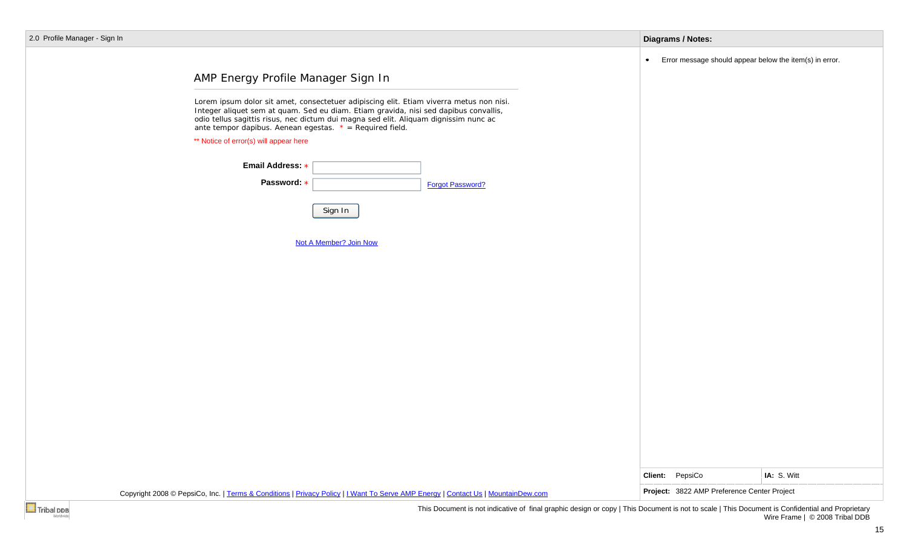| 2.0 Profile Manager - Sign In |  |
|-------------------------------|--|
|-------------------------------|--|

**Contract** 

| 0 Profile Manager - Sign In |                                                                                                                                                                                                                                                                                                                                                                                                                        |                        |                         | <b>Diagrams / Notes:</b> |                                                         |
|-----------------------------|------------------------------------------------------------------------------------------------------------------------------------------------------------------------------------------------------------------------------------------------------------------------------------------------------------------------------------------------------------------------------------------------------------------------|------------------------|-------------------------|--------------------------|---------------------------------------------------------|
|                             | AMP Energy Profile Manager Sign In<br>Lorem ipsum dolor sit amet, consectetuer adipiscing elit. Etiam viverra metus non nisi.<br>Integer aliquet sem at quam. Sed eu diam. Etiam gravida, nisi sed dapibus convallis,<br>odio tellus sagittis risus, nec dictum dui magna sed elit. Aliquam dignissim nunc ac<br>ante tempor dapibus. Aenean egestas. $* = Required field$ .<br>** Notice of error(s) will appear here |                        |                         | ٠                        | Error message should appear below the item(s) in error. |
|                             | Email Address: *<br>Password: *                                                                                                                                                                                                                                                                                                                                                                                        | Sign In                | <b>Forgot Password?</b> |                          |                                                         |
|                             |                                                                                                                                                                                                                                                                                                                                                                                                                        | Not A Member? Join Now |                         |                          |                                                         |
|                             |                                                                                                                                                                                                                                                                                                                                                                                                                        |                        |                         |                          |                                                         |
|                             |                                                                                                                                                                                                                                                                                                                                                                                                                        |                        |                         |                          |                                                         |
|                             |                                                                                                                                                                                                                                                                                                                                                                                                                        |                        |                         |                          |                                                         |
|                             |                                                                                                                                                                                                                                                                                                                                                                                                                        |                        |                         | Client: PepsiCo          | IA: S. Witt                                             |
|                             | Copyright 2008 © PepsiCo, Inc.   Terms & Conditions   Privacy Policy   I Want To Serve AMP Energy   Contact Us   MountainDew.com                                                                                                                                                                                                                                                                                       |                        |                         |                          | Project: 3822 AMP Preference Center Project             |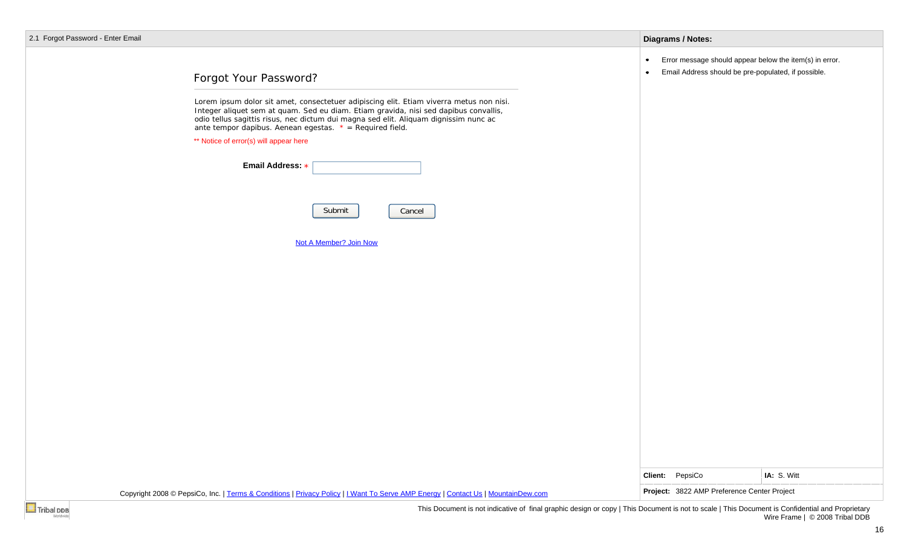|  |  | 2.1 Forgot Password - Enter Email |  |  |  |
|--|--|-----------------------------------|--|--|--|
|--|--|-----------------------------------|--|--|--|

|  | Diagrams / Notes: |  |
|--|-------------------|--|
|  |                   |  |

- Error message should appear below the item(s) in error.  $\bullet$
- Email Address should be pre-populated, if possible.  $\bullet$

# Forgot Your Password?

Lorem ipsum dolor sit amet, consectetuer adipiscing elit. Etiam viverra metus non nisi. Integer aliquet sem at quam. Sed eu diam. Etiam gravida, nisi sed dapibus convallis, odio tellus sagittis risus, nec dictum dui magna sed elit. Aliquam dignissim nunc ac ante tempor dapibus. Aenean egestas. *\* = Required field.*

\*\* Notice of error(s) will appear here

| Email Address: *                                                                                                                                                     |                                                                |             |
|----------------------------------------------------------------------------------------------------------------------------------------------------------------------|----------------------------------------------------------------|-------------|
| Submit<br>Cancel                                                                                                                                                     |                                                                |             |
| Not A Member? Join Now                                                                                                                                               |                                                                |             |
|                                                                                                                                                                      |                                                                |             |
|                                                                                                                                                                      |                                                                |             |
|                                                                                                                                                                      |                                                                |             |
|                                                                                                                                                                      |                                                                |             |
|                                                                                                                                                                      |                                                                |             |
|                                                                                                                                                                      |                                                                |             |
| Copyright 2008 © PepsiCo, Inc.   Terms & Conditions   Privacy Policy   I Want To Serve AMP Energy   Contact Us   MountainDew.com                                     | Client: PepsiCo<br>Project: 3822 AMP Preference Center Project | IA: S. Witt |
| <b>Tribal DDB</b><br>This Document is not indicative of final graphic design or copy   This Document is not to scale   This Document is Confidential and Proprietary |                                                                |             |

Wire Frame | © 2008 Tribal DDB

16

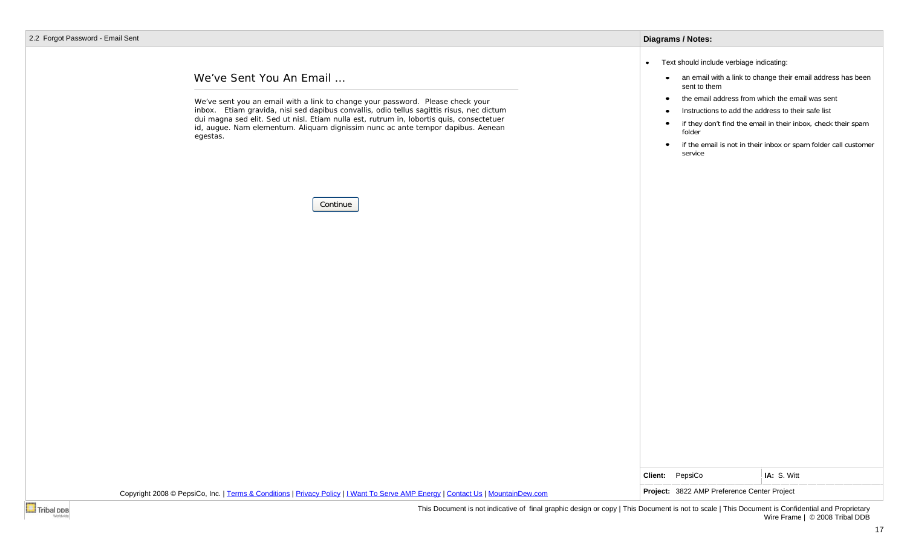## We've Sent You An Email …

We've sent you an email with a link to change your password. Please check your inbox. Etiam gravida, nisi sed dapibus convallis, odio tellus sagittis risus, nec dictum dui magna sed elit. Sed ut nisl. Etiam nulla est, rutrum in, lobortis quis, consectetuer id, augue. Nam elementum. Aliquam dignissim nunc ac ante tempor dapibus. Aenean egestas.

Continue

### **Diagrams / Notes:**

- Text should include verbiage indicating:
	- an email with a link to change their email address has been sent to them
	- the email address from which the email was sent $\bullet$
	- Instructions to add the address to their safe list $\bullet$
	- if they don't find the email in their inbox, check their spam  $\bullet$ folder
	- if the email is not in their inbox or spam folder call customer service

IA: S. Witt

|  | Client: | PepsiCo |  |
|--|---------|---------|--|
|--|---------|---------|--|

Copyright 2008 © PepsiCo, Inc. | Terms & Conditions | Privacy Policy | I Want To Serve AMP Energy | Contact Us | MountainDew.com **Project: 3822 AMP Preference Center Project**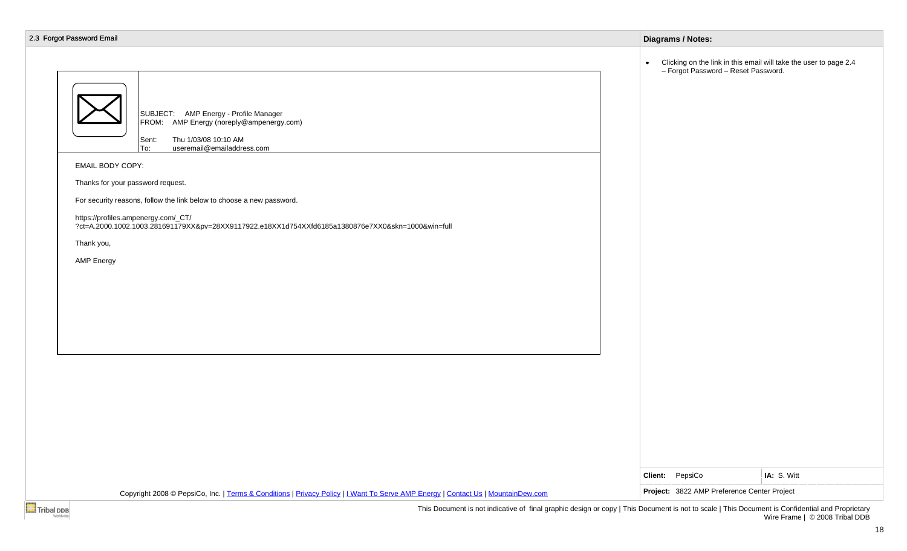| 2.3 Forgot Password Email                                                                                                                                                                                                                                                                                                                                                                                                                                                 | <b>Diagrams / Notes:</b>                                                                                                |
|---------------------------------------------------------------------------------------------------------------------------------------------------------------------------------------------------------------------------------------------------------------------------------------------------------------------------------------------------------------------------------------------------------------------------------------------------------------------------|-------------------------------------------------------------------------------------------------------------------------|
| SUBJECT: AMP Energy - Profile Manager<br>FROM: AMP Energy (noreply@ampenergy.com)<br>Thu 1/03/08 10:10 AM<br>Sent:<br>useremail@emailaddress.com<br>lTo:<br>EMAIL BODY COPY:<br>Thanks for your password request.<br>For security reasons, follow the link below to choose a new password.<br>https://profiles.ampenergy.com/_CT/<br>?ct=A.2000.1002.1003.281691179XX&pv=28XX9117922.e18XX1d754XXfd6185a1380876e7XX0&skn=1000&win=full<br>Thank you,<br><b>AMP Energy</b> | Clicking on the link in this email will take the user to page 2.4<br>$\bullet$ .<br>- Forgot Password - Reset Password. |
|                                                                                                                                                                                                                                                                                                                                                                                                                                                                           | Client: PepsiCo<br>IA: S. Witt<br>Project: 3822 AMP Preference Center Project                                           |
| Copyright 2008 © PepsiCo, Inc.   Terms & Conditions   Privacy Policy   I Want To Serve AMP Energy   Contact Us   MountainDew.com                                                                                                                                                                                                                                                                                                                                          |                                                                                                                         |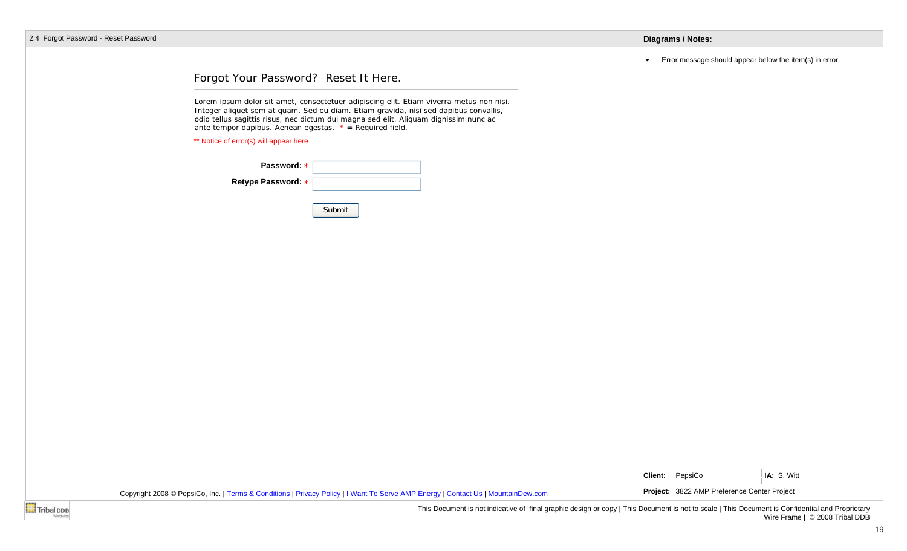| 2.4 Forgot Password - Reset Password                                                                                                                                                                                                                                                                                                   | <b>Diagrams / Notes:</b>                                                                                                                        |
|----------------------------------------------------------------------------------------------------------------------------------------------------------------------------------------------------------------------------------------------------------------------------------------------------------------------------------------|-------------------------------------------------------------------------------------------------------------------------------------------------|
|                                                                                                                                                                                                                                                                                                                                        | Error message should appear below the item(s) in error.<br>$\bullet$                                                                            |
| Forgot Your Password? Reset It Here.                                                                                                                                                                                                                                                                                                   |                                                                                                                                                 |
| Lorem ipsum dolor sit amet, consectetuer adipiscing elit. Etiam viverra metus non nisi.<br>Integer aliquet sem at quam. Sed eu diam. Etiam gravida, nisi sed dapibus convallis,<br>odio tellus sagittis risus, nec dictum dui magna sed elit. Aliquam dignissim nunc ac<br>ante tempor dapibus. Aenean egestas. $* = Required field$ . |                                                                                                                                                 |
| ** Notice of error(s) will appear here                                                                                                                                                                                                                                                                                                 |                                                                                                                                                 |
| Password: *                                                                                                                                                                                                                                                                                                                            |                                                                                                                                                 |
| Retype Password: *                                                                                                                                                                                                                                                                                                                     |                                                                                                                                                 |
| Submit                                                                                                                                                                                                                                                                                                                                 |                                                                                                                                                 |
|                                                                                                                                                                                                                                                                                                                                        |                                                                                                                                                 |
|                                                                                                                                                                                                                                                                                                                                        |                                                                                                                                                 |
|                                                                                                                                                                                                                                                                                                                                        |                                                                                                                                                 |
|                                                                                                                                                                                                                                                                                                                                        |                                                                                                                                                 |
|                                                                                                                                                                                                                                                                                                                                        |                                                                                                                                                 |
|                                                                                                                                                                                                                                                                                                                                        |                                                                                                                                                 |
|                                                                                                                                                                                                                                                                                                                                        |                                                                                                                                                 |
|                                                                                                                                                                                                                                                                                                                                        |                                                                                                                                                 |
|                                                                                                                                                                                                                                                                                                                                        |                                                                                                                                                 |
|                                                                                                                                                                                                                                                                                                                                        |                                                                                                                                                 |
|                                                                                                                                                                                                                                                                                                                                        |                                                                                                                                                 |
|                                                                                                                                                                                                                                                                                                                                        |                                                                                                                                                 |
|                                                                                                                                                                                                                                                                                                                                        |                                                                                                                                                 |
|                                                                                                                                                                                                                                                                                                                                        | Client: PepsiCo<br>IA: S. Witt                                                                                                                  |
|                                                                                                                                                                                                                                                                                                                                        | Project: 3822 AMP Preference Center Project                                                                                                     |
| Copyright 2008 © PepsiCo, Inc.   Terms & Conditions   Privacy Policy   I Want To Serve AMP Energy   Contact Us   MountainDew.com<br>Tribal DDB                                                                                                                                                                                         | This Document is not indicative of final graphic design or copy   This Document is not to scale   This Document is Confidential and Proprietary |

19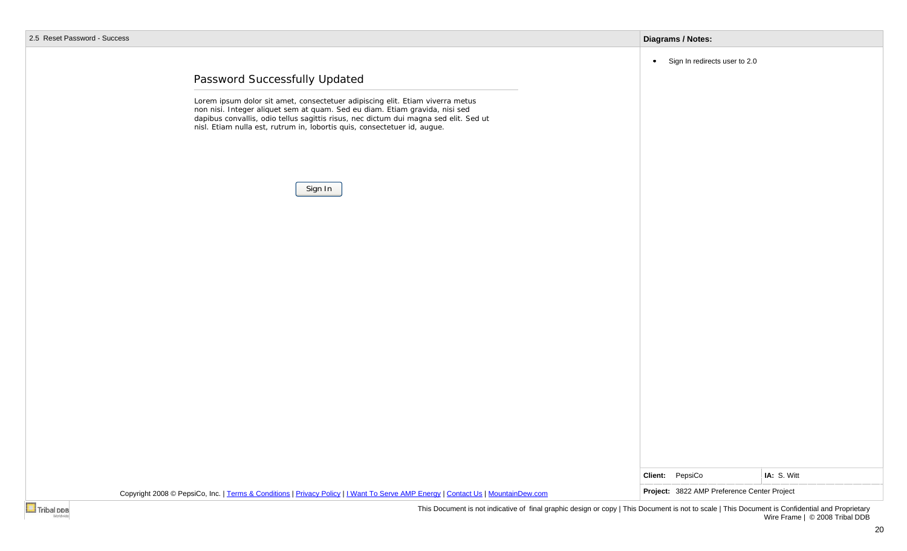|  |  | 2.5 Reset Password - Success |  |
|--|--|------------------------------|--|
|--|--|------------------------------|--|

| 9SS                                                                                                                                                                                                                                             | <b>Diagrams / Notes:</b>                    |             |
|-------------------------------------------------------------------------------------------------------------------------------------------------------------------------------------------------------------------------------------------------|---------------------------------------------|-------------|
|                                                                                                                                                                                                                                                 | Sign In redirects user to 2.0<br>$\bullet$  |             |
| Password Successfully Updated                                                                                                                                                                                                                   |                                             |             |
| Lorem ipsum dolor sit amet, consectetuer adipiscing elit. Etiam viverra metus                                                                                                                                                                   |                                             |             |
| non nisi. Integer aliquet sem at quam. Sed eu diam. Etiam gravida, nisi sed<br>dapibus convallis, odio tellus sagittis risus, nec dictum dui magna sed elit. Sed ut<br>nisl. Etiam nulla est, rutrum in, lobortis quis, consectetuer id, augue. |                                             |             |
|                                                                                                                                                                                                                                                 |                                             |             |
|                                                                                                                                                                                                                                                 |                                             |             |
|                                                                                                                                                                                                                                                 |                                             |             |
| Sign In                                                                                                                                                                                                                                         |                                             |             |
|                                                                                                                                                                                                                                                 |                                             |             |
|                                                                                                                                                                                                                                                 |                                             |             |
|                                                                                                                                                                                                                                                 |                                             |             |
|                                                                                                                                                                                                                                                 |                                             |             |
|                                                                                                                                                                                                                                                 |                                             |             |
|                                                                                                                                                                                                                                                 |                                             |             |
|                                                                                                                                                                                                                                                 |                                             |             |
|                                                                                                                                                                                                                                                 |                                             |             |
|                                                                                                                                                                                                                                                 |                                             |             |
|                                                                                                                                                                                                                                                 |                                             |             |
|                                                                                                                                                                                                                                                 |                                             |             |
|                                                                                                                                                                                                                                                 |                                             |             |
|                                                                                                                                                                                                                                                 |                                             |             |
|                                                                                                                                                                                                                                                 |                                             |             |
|                                                                                                                                                                                                                                                 | Client: PepsiCo                             | IA: S. Witt |
| Copyright 2008 © PepsiCo, Inc.   Terms & Conditions   Privacy Policy   I Want To Serve AMP Energy   Contact Us   MountainDew.com                                                                                                                | Project: 3822 AMP Preference Center Project |             |
|                                                                                                                                                                                                                                                 |                                             |             |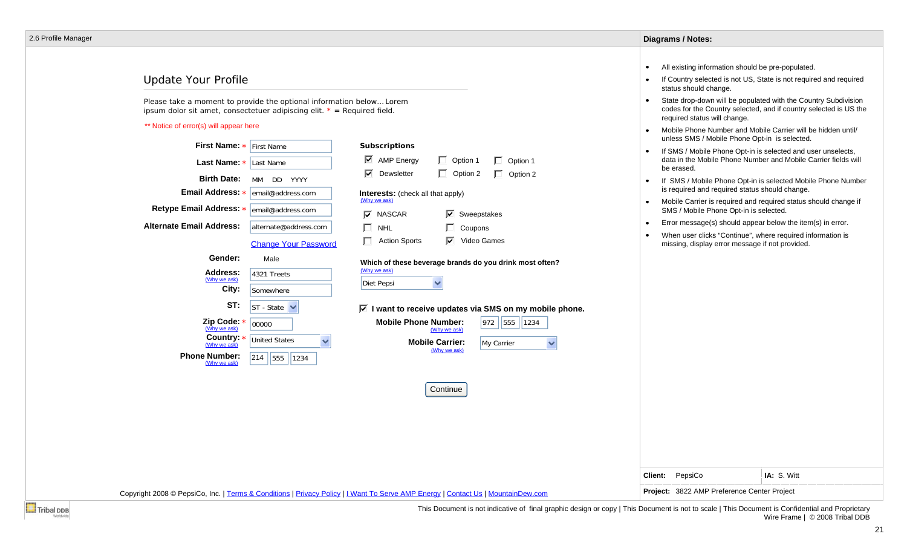## Update Your Profile

Please take a moment to provide the optional information below… Lorem ipsum dolor sit amet, consectetuer adipiscing elit. *\* = Required field.*

### \*\* Notice of error(s) will appear here

| First Name: * First Name<br>Last Name: *<br>Last Name<br><b>Birth Date:</b><br>MM DD YYYY<br>Email Address: *<br>email@address.com<br>Retype Email Address: * email@address.com<br><b>Alternate Email Address:</b><br>alternate@address.com<br><b>Change Your Password</b>                                         | <b>Subscriptions</b><br>$\overline{\triangledown}$ AMP Energy<br>$\Box$ Option 1<br>$\Box$ Option 1<br>☑<br>$\Box$ Option 2<br>Dewsletter<br>$\Box$ Option 2<br><b>Interests:</b> (check all that apply)<br>(Why we ask)<br>$\overline{\triangledown}$ Sweepstakes<br>$\nabla$ NASCAR<br>П<br><b>NHL</b><br>Coupons<br>$\Box$<br>$\nabla$<br><b>Action Sports</b><br>Video Games | unless SMS / Mobile Phone Opt-in is selected.<br>If SMS / Mobile Phone Opt-in is selected and user unselects,<br>data in the Mobile Phone Number and Mobile Carrier fields will<br>be erased.<br>If SMS / Mobile Phone Opt-in is selected Mobile Phone Number<br>is required and required status should change.<br>Mobile Carrier is required and required status should change if<br>SMS / Mobile Phone Opt-in is selected.<br>Error message(s) should appear below the item(s) in error.<br>When user clicks "Continue", where required information is<br>missing, display error message if not provided. |
|--------------------------------------------------------------------------------------------------------------------------------------------------------------------------------------------------------------------------------------------------------------------------------------------------------------------|----------------------------------------------------------------------------------------------------------------------------------------------------------------------------------------------------------------------------------------------------------------------------------------------------------------------------------------------------------------------------------|-------------------------------------------------------------------------------------------------------------------------------------------------------------------------------------------------------------------------------------------------------------------------------------------------------------------------------------------------------------------------------------------------------------------------------------------------------------------------------------------------------------------------------------------------------------------------------------------------------------|
| Gender:<br>Male<br><b>Address:</b><br>4321 Treets<br>(Why we ask)<br>City:<br>Somewhere<br>ST:<br>$ST - State \nightharpoonup$<br>Zip Code: *<br>00000<br>(Why we ask)<br>Country: *<br><b>United States</b><br>$\checkmark$<br>(Why we ask)<br><b>Phone Number:</b><br>$\sqrt{214}$   555<br>1234<br>(Why we ask) | Which of these beverage brands do you drink most often?<br>(Why we ask)<br>$\checkmark$<br>Diet Pepsi<br>$\overline{\triangleright}$ I want to receive updates via SMS on my mobile phone.<br><b>Mobile Phone Number:</b><br>972 555<br>1234<br>(Why we ask)<br><b>Mobile Carrier:</b><br>My Carrier<br>$\checkmark$<br>(Why we ask)<br>Continue                                 |                                                                                                                                                                                                                                                                                                                                                                                                                                                                                                                                                                                                             |
| Copyright 2008 © PepsiCo, Inc.   Terms & Conditions   Privacy Policy   I Want To Serve AMP Energy   Contact Us   MountainDew.com                                                                                                                                                                                   |                                                                                                                                                                                                                                                                                                                                                                                  | IA: S. Witt<br>PepsiCo<br>Client:<br>Project: 3822 AMP Preference Center Project                                                                                                                                                                                                                                                                                                                                                                                                                                                                                                                            |

This Document is not indicative of final graphic design or copy | This Document is not to scale | This Document is Confidential and Proprietary Wire Frame | © 2008 Tribal DDB

**Diagrams / Notes:**

 $\bullet$  $\bullet$ 

 $\bullet$ 

status should change.

required status will change.

All existing information should be pre-populated.

If Country selected is not US, State is not required and required

Mobile Phone Number and Mobile Carrier will be hidden until/

State drop-down will be populated with the Country Subdivision codes for the Country selected, and if country selected is US the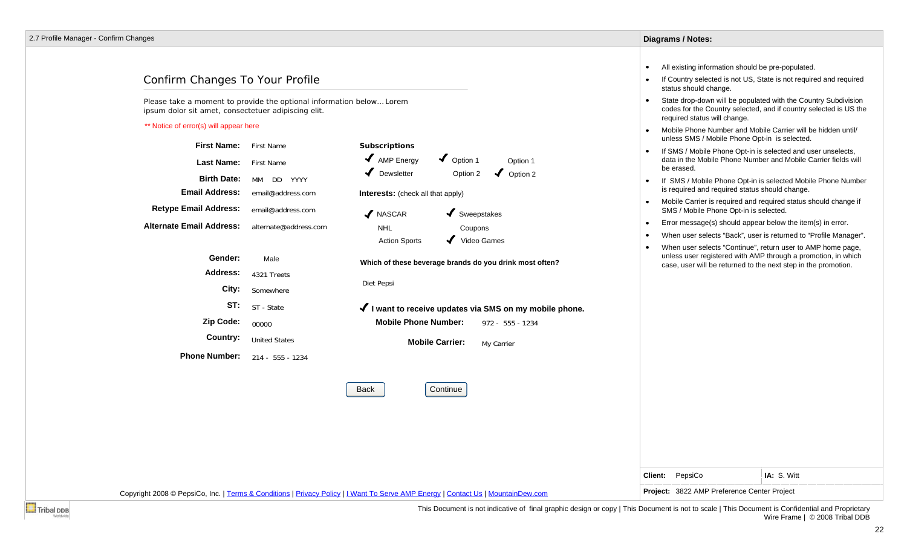## Confirm Changes To Your Profile

Please take a moment to provide the optional information below… Lorem ipsum dolor sit amet, consectetuer adipiscing elit.

#### \*\* Notice of error(s) will appear here

|                                 |                       |                                                            | unless SMS / Mobile Phone Opt-in is selected.                                                                                                                                                               |
|---------------------------------|-----------------------|------------------------------------------------------------|-------------------------------------------------------------------------------------------------------------------------------------------------------------------------------------------------------------|
| <b>First Name:</b>              | First Name            | <b>Subscriptions</b>                                       | If SMS / Mobile Phone Opt-in is selected and user unselects,<br>$\bullet$                                                                                                                                   |
| <b>Last Name:</b>               | First Name            | $\blacktriangleright$ Option 1<br>AMP Energy<br>Option 1   | data in the Mobile Phone Number and Mobile Carrier fields will<br>be erased.                                                                                                                                |
| <b>Birth Date:</b>              | MM DD YYYY            | $\blacktriangledown$<br>Dewsletter<br>Option 2<br>Option 2 | If SMS / Mobile Phone Opt-in is selected Mobile Phone Number<br>$\bullet$                                                                                                                                   |
| <b>Email Address:</b>           | email@address.com     | <b>Interests:</b> (check all that apply)                   | is required and required status should change.                                                                                                                                                              |
| <b>Retype Email Address:</b>    | email@address.com     | $\blacktriangleright$ Sweepstakes<br>✔ NASCAR              | Mobile Carrier is required and required status should change if<br>$\bullet$<br>SMS / Mobile Phone Opt-in is selected.                                                                                      |
| <b>Alternate Email Address:</b> | alternate@address.com | <b>NHL</b><br>Coupons                                      | Error message(s) should appear below the item(s) in error.<br>$\bullet$                                                                                                                                     |
|                                 |                       | Video Games<br><b>Action Sports</b>                        | When user selects "Back", user is returned to "Profile Manager".<br>$\bullet$                                                                                                                               |
| Gender:                         | Male                  | Which of these beverage brands do you drink most often?    | When user selects "Continue", return user to AMP home page,<br>$\bullet$<br>unless user registered with AMP through a promotion, in which<br>case, user will be returned to the next step in the promotion. |
| Address:                        | 4321 Treets           |                                                            |                                                                                                                                                                                                             |
| City:                           | Somewhere             | Diet Pepsi                                                 |                                                                                                                                                                                                             |
| ST:                             | ST - State            | √ I want to receive updates via SMS on my mobile phone.    |                                                                                                                                                                                                             |
| Zip Code:                       | 00000                 | <b>Mobile Phone Number:</b><br>972 - 555 - 1234            |                                                                                                                                                                                                             |
| Country:                        | <b>United States</b>  | <b>Mobile Carrier:</b><br>My Carrier                       |                                                                                                                                                                                                             |
| <b>Phone Number:</b>            | 214 - 555 - 1234      |                                                            |                                                                                                                                                                                                             |
|                                 |                       | Continue<br><b>Back</b>                                    |                                                                                                                                                                                                             |
|                                 |                       |                                                            |                                                                                                                                                                                                             |

Copyright 2008 © PepsiCo, Inc. | Terms & Conditions | Privacy Policy | I Want To Serve AMP Energy | Contact Us | MountainDew.com **Project: 3822 AMP Preference Center Project** 

**Client:** PepsiCo **IA:** S. Witt



This Document is not indicative of final graphic design or copy | This Document is not to scale | This Document is Confidential and Proprietary Wire Frame | © 2008 Tribal DDB

**Diagrams / Notes:**

 $\bullet$  $\bullet$ 

 $\bullet$ 

 $\bullet$ 

status should change.

required status will change.

All existing information should be pre-populated.

If Country selected is not US, State is not required and required

State drop-down will be populated with the Country Subdivision codes for the Country selected, and if country selected is US the

Mobile Phone Number and Mobile Carrier will be hidden until/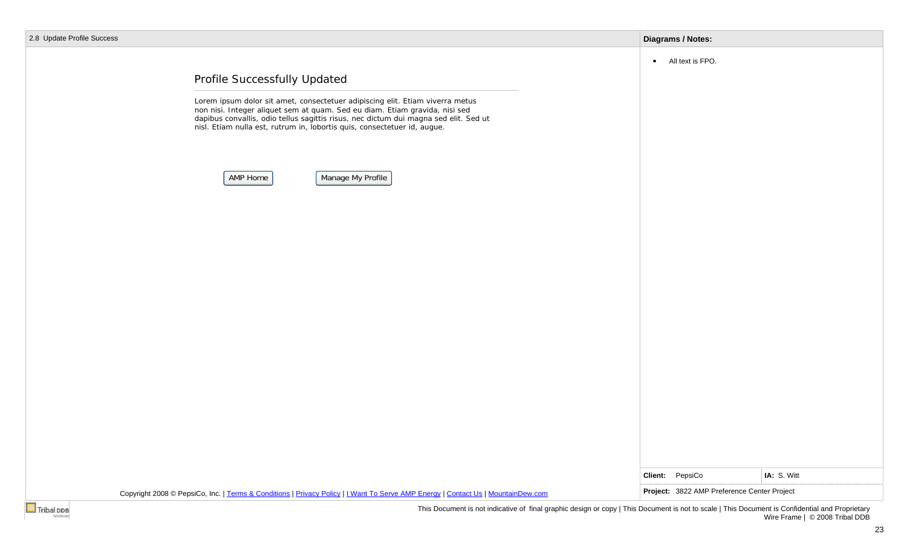| <b>Update Profile Success</b> |                                                                                                                                                                                                                                                                                      | <b>Diagrams / Notes:</b> |                                                        |             |  |
|-------------------------------|--------------------------------------------------------------------------------------------------------------------------------------------------------------------------------------------------------------------------------------------------------------------------------------|--------------------------|--------------------------------------------------------|-------------|--|
|                               | Profile Successfully Updated<br>Lorem ipsum dolor sit amet, consectetuer adipiscing elit. Etiam viverra metus<br>non nisi. Integer aliquet sem at quam. Sed eu diam. Etiam gravida, nisi sed<br>dapibus convallis, odio tellus sagittis risus, nec dictum dui magna sed elit. Sed ut |                          | • All text is FPO.                                     |             |  |
|                               | nisl. Etiam nulla est, rutrum in, lobortis quis, consectetuer id, augue.<br>Manage My Profile<br>AMP Home                                                                                                                                                                            |                          |                                                        |             |  |
|                               |                                                                                                                                                                                                                                                                                      |                          |                                                        |             |  |
|                               |                                                                                                                                                                                                                                                                                      |                          |                                                        |             |  |
|                               |                                                                                                                                                                                                                                                                                      |                          |                                                        |             |  |
|                               | Copyright 2008 © PepsiCo, Inc.   Terms & Conditions   Privacy Policy   I Want To Serve AMP Energy   Contact Us   MountainDew.com                                                                                                                                                     | Client:                  | PepsiCo<br>Project: 3822 AMP Preference Center Project | IA: S. Witt |  |
|                               |                                                                                                                                                                                                                                                                                      |                          |                                                        |             |  |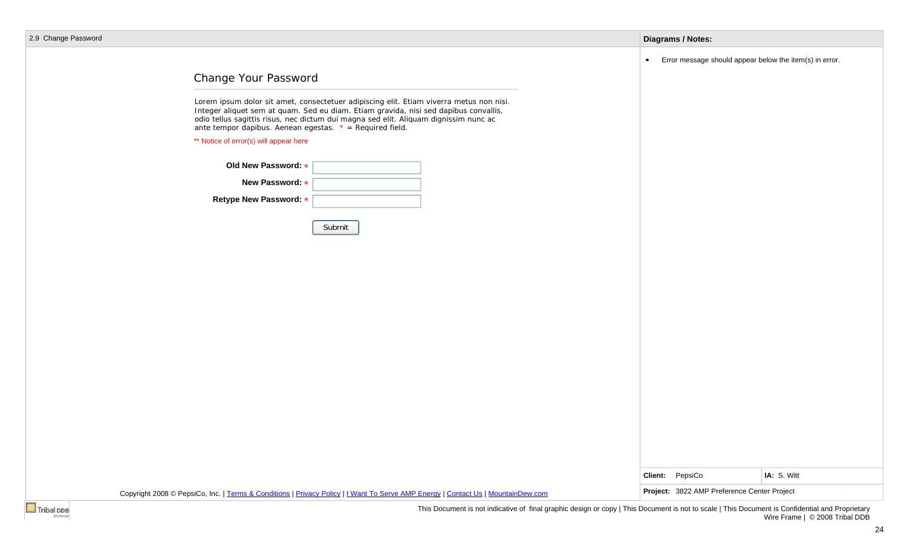| 2.9 Change Password                                        |                                                                                                                                                                                                                                                                         |           | <b>Diagrams / Notes:</b>                                |             |
|------------------------------------------------------------|-------------------------------------------------------------------------------------------------------------------------------------------------------------------------------------------------------------------------------------------------------------------------|-----------|---------------------------------------------------------|-------------|
|                                                            |                                                                                                                                                                                                                                                                         | $\bullet$ | Error message should appear below the item(s) in error. |             |
| Change Your Password                                       |                                                                                                                                                                                                                                                                         |           |                                                         |             |
| ante tempor dapibus. Aenean egestas. $* = Required$ field. | Lorem ipsum dolor sit amet, consectetuer adipiscing elit. Etiam viverra metus non nisi.<br>Integer aliquet sem at quam. Sed eu diam. Etiam gravida, nisi sed dapibus convallis,<br>odio tellus sagittis risus, nec dictum dui magna sed elit. Aliquam dignissim nunc ac |           |                                                         |             |
| ** Notice of error(s) will appear here                     |                                                                                                                                                                                                                                                                         |           |                                                         |             |
| Old New Password: *                                        |                                                                                                                                                                                                                                                                         |           |                                                         |             |
| New Password: *                                            |                                                                                                                                                                                                                                                                         |           |                                                         |             |
| Retype New Password: *                                     |                                                                                                                                                                                                                                                                         |           |                                                         |             |
|                                                            | Submit                                                                                                                                                                                                                                                                  |           |                                                         |             |
|                                                            |                                                                                                                                                                                                                                                                         |           |                                                         |             |
|                                                            |                                                                                                                                                                                                                                                                         |           |                                                         |             |
|                                                            |                                                                                                                                                                                                                                                                         |           |                                                         |             |
|                                                            |                                                                                                                                                                                                                                                                         |           |                                                         |             |
|                                                            |                                                                                                                                                                                                                                                                         |           |                                                         |             |
|                                                            |                                                                                                                                                                                                                                                                         |           |                                                         |             |
|                                                            |                                                                                                                                                                                                                                                                         |           |                                                         |             |
|                                                            |                                                                                                                                                                                                                                                                         |           |                                                         |             |
|                                                            |                                                                                                                                                                                                                                                                         |           |                                                         |             |
|                                                            |                                                                                                                                                                                                                                                                         |           |                                                         |             |
|                                                            |                                                                                                                                                                                                                                                                         |           |                                                         |             |
|                                                            |                                                                                                                                                                                                                                                                         |           | Client: PepsiCo                                         | IA: S. Witt |
|                                                            | Copyright 2008 © PepsiCo, Inc.   Terms & Conditions   Privacy Policy   I Want To Serve AMP Energy   Contact Us   MountainDew.com                                                                                                                                        |           | Project: 3822 AMP Preference Center Project             |             |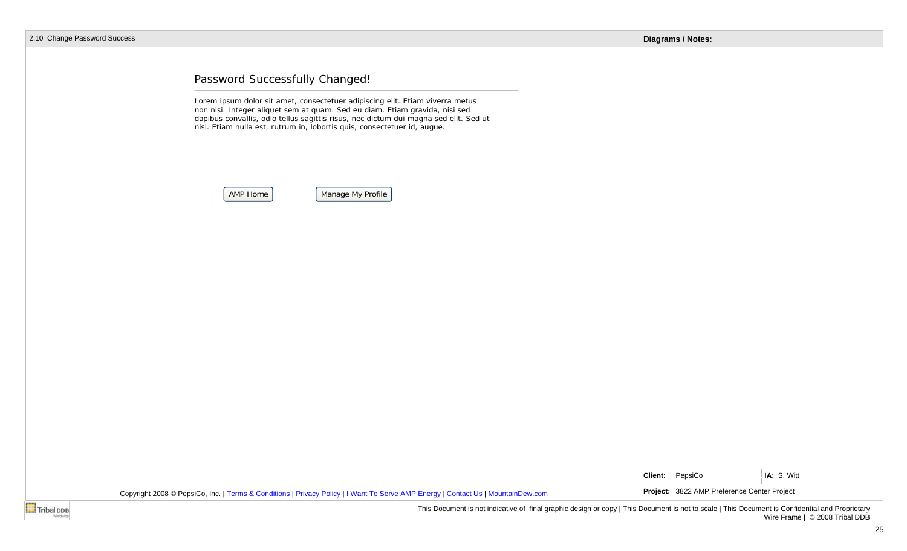|  |  | 2.10 Change Password Success |  |
|--|--|------------------------------|--|
|--|--|------------------------------|--|

| e Password Success |                                                                                                                                                                                                                                                                                                                                                                 | <b>Diagrams / Notes:</b> |                                                            |  |
|--------------------|-----------------------------------------------------------------------------------------------------------------------------------------------------------------------------------------------------------------------------------------------------------------------------------------------------------------------------------------------------------------|--------------------------|------------------------------------------------------------|--|
|                    | Password Successfully Changed!<br>Lorem ipsum dolor sit amet, consectetuer adipiscing elit. Etiam viverra metus non nisi. Integer aliquet sem at quam. Sed eu diam. Etiam gravida, nisi sed<br>dapibus convallis, odio tellus sagittis risus, nec dictum dui magna sed elit. Sed ut<br>nisl. Etiam nulla est, rutrum in, lobortis quis, consectetuer id, augue. |                          |                                                            |  |
|                    | Manage My Profile<br>AMP Home                                                                                                                                                                                                                                                                                                                                   |                          |                                                            |  |
|                    |                                                                                                                                                                                                                                                                                                                                                                 |                          |                                                            |  |
|                    |                                                                                                                                                                                                                                                                                                                                                                 |                          |                                                            |  |
|                    |                                                                                                                                                                                                                                                                                                                                                                 |                          |                                                            |  |
|                    |                                                                                                                                                                                                                                                                                                                                                                 | Client: PepsiCo          | IA: S. Witt<br>Project: 3822 AMP Preference Center Project |  |
|                    | Copyright 2008 © PepsiCo, Inc.   Terms & Conditions   Privacy Policy   I Want To Serve AMP Energy   Contact Us   MountainDew.com<br>This Decument is not indicative of final graphic decime ar sepul. This Decument is not to seek I This Decument is Confidential and Proprietary                                                                              |                          |                                                            |  |
|                    |                                                                                                                                                                                                                                                                                                                                                                 |                          |                                                            |  |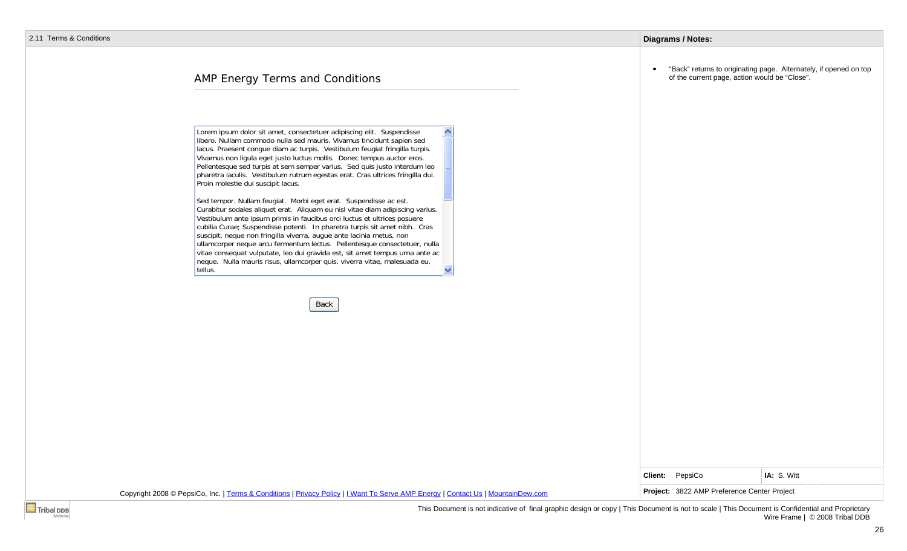#### **Diagrams / Notes:**

## AMP Energy Terms and Conditions

Lorem ipsum dolor sit amet, consectetuer adipiscing elit. Suspendisse libero. Nullam commodo nulla sed mauris. Vivamus tincidunt sapien sed lacus. Praesent congue diam ac turpis. Vestibulum feugiat fringilla turpis. Vivamus non ligula eget justo luctus mollis. Donec tempus auctor eros. Pellentesque sed turpis at sem semper varius. Sed quis justo interdum leo pharetra iaculis. Vestibulum rutrum egestas erat. Cras ultrices fringilla dui. Proin molestie dui suscipit lacus.

Sed tempor. Nullam feugiat. Morbi eget erat. Suspendisse ac est. Curabitur sodales aliquet erat. Aliquam eu nisl vitae diam adipiscing varius. Vestibulum ante ipsum primis in faucibus orci luctus et ultrices posuere cubilia Curae; Suspendisse potenti. In pharetra turpis sit amet nibh. Cras suscipit, neque non fringilla viverra, augue ante lacinia metus, non ullamcorper neque arcu fermentum lectus. Pellentesque consectetuer, nulla vitae consequat vulputate, leo dui gravida est, sit amet tempus urna ante ac neque. Nulla mauris risus, ullamcorper quis, viverra vitae, malesuada eu, tellus.

Back

"Back" returns to originating page. Alternately, if opened on top of the current page, action would be "Close".

| Client: | PepsiCo |  |
|---------|---------|--|
|---------|---------|--|

Copyright 2008 © PepsiCo, Inc. | Terms & Conditions | Privacy Policy | I Want To Serve AMP Energy | Contact Us | MountainDew.com **Project: 3822 AMP Preference Center Project** 

IA: S. Witt

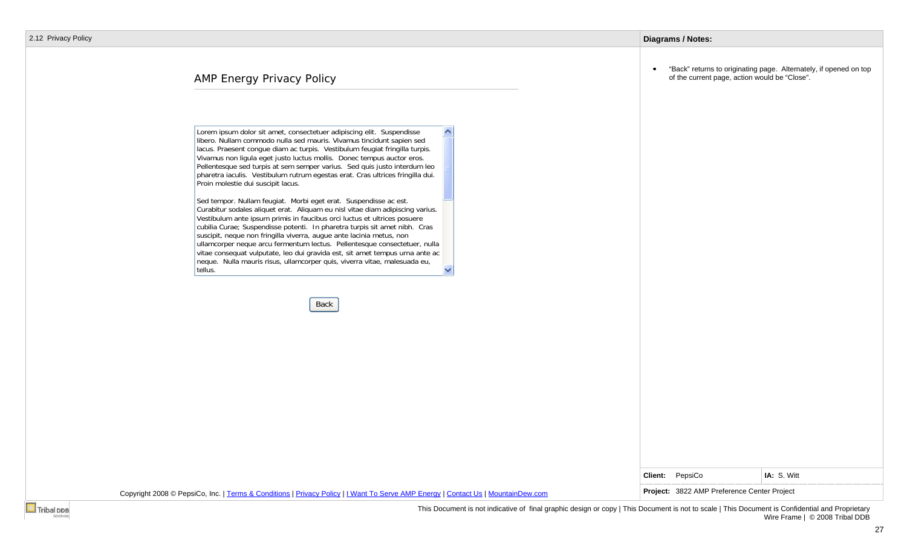#### **Diagrams / Notes:**

# AMP Energy Privacy Policy

Lorem ipsum dolor sit amet, consectetuer adipiscing elit. Suspendisse libero. Nullam commodo nulla sed mauris. Vivamus tincidunt sapien sed lacus. Praesent congue diam ac turpis. Vestibulum feugiat fringilla turpis. Vivamus non ligula eget justo luctus mollis. Donec tempus auctor eros. Pellentesque sed turpis at sem semper varius. Sed quis justo interdum leo pharetra iaculis. Vestibulum rutrum egestas erat. Cras ultrices fringilla dui. Proin molestie dui suscipit lacus.

Sed tempor. Nullam feugiat. Morbi eget erat. Suspendisse ac est. Curabitur sodales aliquet erat. Aliquam eu nisl vitae diam adipiscing varius. Vestibulum ante ipsum primis in faucibus orci luctus et ultrices posuere cubilia Curae; Suspendisse potenti. In pharetra turpis sit amet nibh. Cras suscipit, neque non fringilla viverra, augue ante lacinia metus, non ullamcorper neque arcu fermentum lectus. Pellentesque consectetuer, nulla vitae consequat vulputate, leo dui gravida est, sit amet tempus urna ante ac neque. Nulla mauris risus, ullamcorper quis, viverra vitae, malesuada eu, tellus.

Back

"Back" returns to originating page. Alternately, if opened on top of the current page, action would be "Close".

| Client: | PepsiCo |  |
|---------|---------|--|
|---------|---------|--|

Copyright 2008 © PepsiCo, Inc. | Terms & Conditions | Privacy Policy | I Want To Serve AMP Energy | Contact Us | MountainDew.com **Project: 3822 AMP Preference Center Project** 

IA: S. Witt

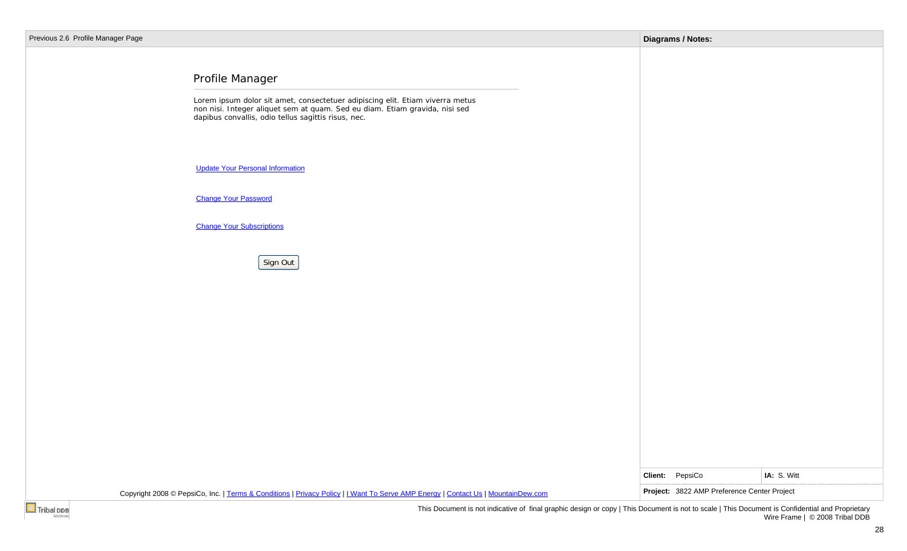| ous 2.6 Profile Manager Page |                                                                                                                                                                                                                                     | <b>Diagrams / Notes:</b>                    |             |
|------------------------------|-------------------------------------------------------------------------------------------------------------------------------------------------------------------------------------------------------------------------------------|---------------------------------------------|-------------|
|                              | Profile Manager<br>Lorem ipsum dolor sit amet, consectetuer adipiscing elit. Etiam viverra metus non nisi. Integer aliquet sem at quam. Sed eu diam. Etiam gravida, nisi sed<br>dapibus convallis, odio tellus sagittis risus, nec. |                                             |             |
|                              | <b>Update Your Personal Information</b>                                                                                                                                                                                             |                                             |             |
|                              | <b>Change Your Password</b>                                                                                                                                                                                                         |                                             |             |
|                              | <b>Change Your Subscriptions</b>                                                                                                                                                                                                    |                                             |             |
|                              | Sign Out                                                                                                                                                                                                                            |                                             |             |
|                              |                                                                                                                                                                                                                                     |                                             |             |
|                              |                                                                                                                                                                                                                                     |                                             |             |
|                              |                                                                                                                                                                                                                                     |                                             |             |
|                              |                                                                                                                                                                                                                                     |                                             |             |
|                              |                                                                                                                                                                                                                                     |                                             |             |
|                              |                                                                                                                                                                                                                                     |                                             |             |
|                              |                                                                                                                                                                                                                                     | Client: PepsiCo                             | IA: S. Witt |
|                              | Copyright 2008 © PepsiCo, Inc.   Terms & Conditions   Privacy Policy   I Want To Serve AMP Energy   Contact Us   MountainDew.com                                                                                                    | Project: 3822 AMP Preference Center Project |             |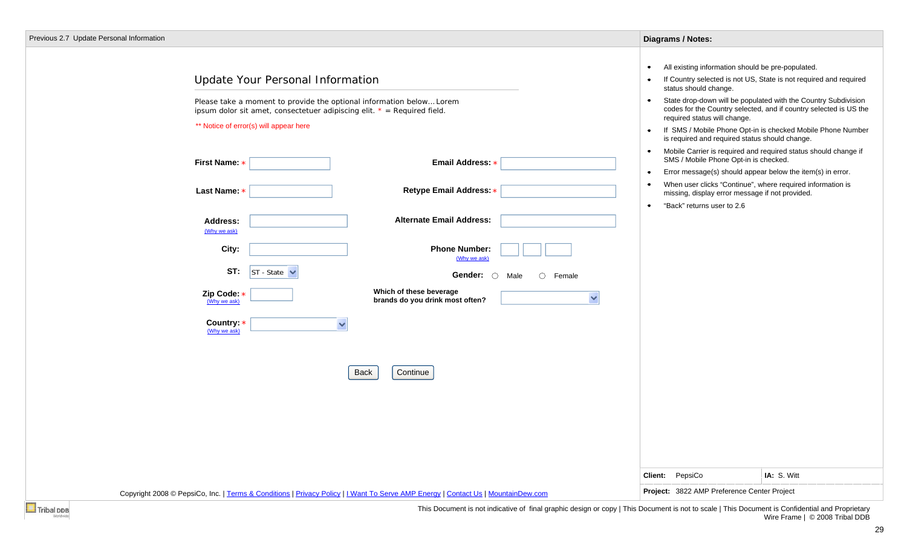| Update Your Personal Information                                                                                                                                                            | All existing information should be pre-populated.<br>$\bullet$<br>If Country selected is not US, State is not required and required<br>status should change.                                                                                    |
|---------------------------------------------------------------------------------------------------------------------------------------------------------------------------------------------|-------------------------------------------------------------------------------------------------------------------------------------------------------------------------------------------------------------------------------------------------|
| Please take a moment to provide the optional information below Lorem<br>ipsum dolor sit amet, consectetuer adipiscing elit. $* = Required$ field.<br>** Notice of error(s) will appear here | State drop-down will be populated with the Country Subdivision<br>$\bullet$<br>codes for the Country selected, and if country selected is US the<br>required status will change.<br>If SMS / Mobile Phone Opt-in is checked Mobile Phone Number |
| Email Address: *<br>First Name: *                                                                                                                                                           | is required and required status should change.<br>Mobile Carrier is required and required status should change if<br>$\bullet$<br>SMS / Mobile Phone Opt-in is checked.<br>Error message(s) should appear below the item(s) in error.<br>٠      |
| Last Name: *<br>Retype Email Address: *                                                                                                                                                     | When user clicks "Continue", where required information is<br>missing, display error message if not provided.                                                                                                                                   |
| <b>Alternate Email Address:</b><br>Address:<br>(Why we ask)                                                                                                                                 | "Back" returns user to 2.6<br>$\bullet$                                                                                                                                                                                                         |
| City:<br><b>Phone Number:</b><br>(Why we ask)                                                                                                                                               |                                                                                                                                                                                                                                                 |
| ST:<br>$ST - State \triangleright$<br>Gender:<br>$\circ$<br>Female<br>$\bigcirc$<br>Male                                                                                                    |                                                                                                                                                                                                                                                 |
| Which of these beverage<br>Zip Code: *<br>brands do you drink most often?<br>(Why we ask)                                                                                                   | $\checkmark$                                                                                                                                                                                                                                    |
| Country: *<br>$\checkmark$<br>(Why we ask)                                                                                                                                                  |                                                                                                                                                                                                                                                 |
| Continue<br>Back                                                                                                                                                                            |                                                                                                                                                                                                                                                 |
|                                                                                                                                                                                             |                                                                                                                                                                                                                                                 |
|                                                                                                                                                                                             |                                                                                                                                                                                                                                                 |
|                                                                                                                                                                                             | IA: S. Witt<br>Client: PepsiCo                                                                                                                                                                                                                  |
| Copyright 2008 © PepsiCo, Inc.   Terms & Conditions   Privacy Policy   I Want To Serve AMP Energy   Contact Us   MountainDew.com                                                            | Project: 3822 AMP Preference Center Project                                                                                                                                                                                                     |

This Document is not indicative of final graphic design or copy | This Document is not to scale | This Document is Confidential and Proprietary Wire Frame | © 2008 Tribal DDB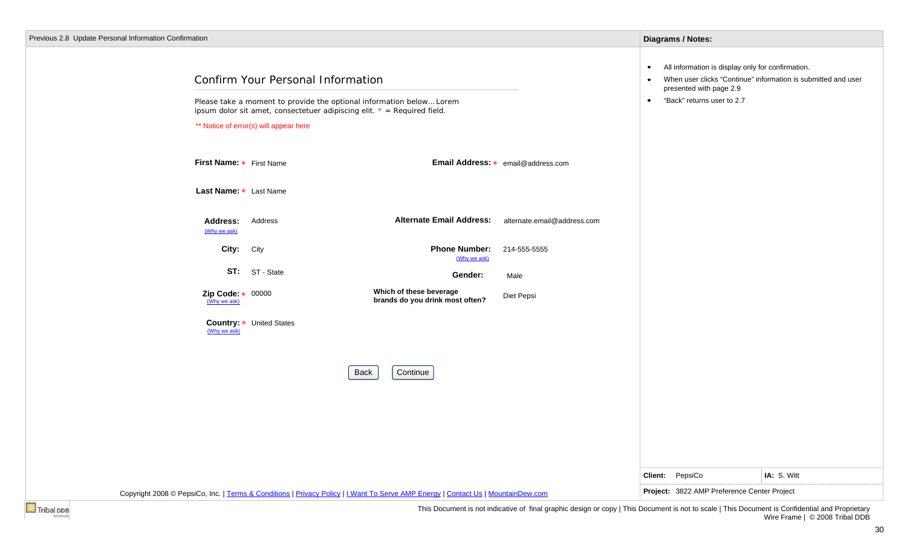| Previous 2.8 Update Personal Information Confirmation                                                                            |                                                                                                                                                                                        | Diagrams / Notes:                           |
|----------------------------------------------------------------------------------------------------------------------------------|----------------------------------------------------------------------------------------------------------------------------------------------------------------------------------------|---------------------------------------------|
| ** Notice of error(s) will appear here                                                                                           | Confirm Your Personal Information<br>Please take a moment to provide the optional information below Lorem<br>ipsum dolor sit amet, consectetuer adipiscing elit. $* = Required$ field. |                                             |
| First Name: * First Name                                                                                                         | Email Address: * email@address.com                                                                                                                                                     |                                             |
| Last Name: * Last Name                                                                                                           |                                                                                                                                                                                        |                                             |
| Address<br><b>Address:</b><br>(Why we ask)                                                                                       | <b>Alternate Email Address:</b><br>alternate.email@address.com                                                                                                                         |                                             |
| City:<br>City                                                                                                                    | <b>Phone Number:</b><br>214-555-5555<br>(Why we ask)                                                                                                                                   |                                             |
| ST: ST-State                                                                                                                     | Gender:<br>Male                                                                                                                                                                        |                                             |
| Zip Code: $\star$ 00000<br>(Why we ask)                                                                                          | Which of these beverage<br>Diet Pepsi<br>brands do you drink most often?                                                                                                               |                                             |
| Country: * United States<br>(Why we ask)                                                                                         |                                                                                                                                                                                        |                                             |
|                                                                                                                                  | Continue<br>Back                                                                                                                                                                       |                                             |
|                                                                                                                                  |                                                                                                                                                                                        |                                             |
|                                                                                                                                  |                                                                                                                                                                                        |                                             |
|                                                                                                                                  |                                                                                                                                                                                        |                                             |
|                                                                                                                                  |                                                                                                                                                                                        | Client: PepsiCo<br>IA: S. Witt              |
| Copyright 2008 © PepsiCo, Inc.   Terms & Conditions   Privacy Policy     Want To Serve AMP Energy   Contact Us   MountainDew.com |                                                                                                                                                                                        | Project: 3822 AMP Preference Center Project |

Wire Frame | © 2008 Tribal DDB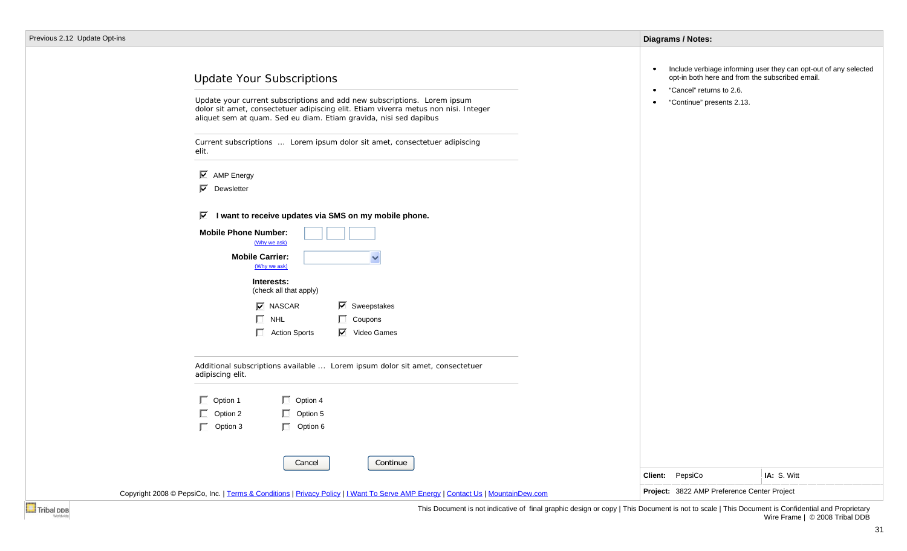| Include verbiage informing user they can opt-out of any selected<br>$\bullet$<br>opt-in both here and from the subscribed email.<br><b>Update Your Subscriptions</b><br>"Cancel" returns to 2.6.<br>$\bullet$<br>Update your current subscriptions and add new subscriptions. Lorem ipsum<br>"Continue" presents 2.13.<br>٠<br>dolor sit amet, consectetuer adipiscing elit. Etiam viverra metus non nisi. Integer<br>aliquet sem at quam. Sed eu diam. Etiam gravida, nisi sed dapibus<br>Current subscriptions  Lorem ipsum dolor sit amet, consectetuer adipiscing<br>elit.<br>$\overline{\triangleright}$ AMP Energy<br>$\overline{\mathsf{M}}$ Dewsletter<br>$\overline{\mathbf{M}}$<br>I want to receive updates via SMS on my mobile phone.<br><b>Mobile Phone Number:</b><br>(Why we ask)<br><b>Mobile Carrier:</b><br>$\checkmark$<br>(Why we ask)<br>Interests:<br>(check all that apply)<br>$\nabla$ NASCAR<br>$\overline{\triangleright}$ Sweepstakes<br>$\Box$ NHL<br>$\Box$ Coupons<br>$\Box$ Action Sports<br>$\overline{\mathbf{M}}$ Video Games<br>Additional subscriptions available  Lorem ipsum dolor sit amet, consectetuer<br>adipiscing elit.<br>$\Box$ Option 1<br>$\Box$ Option 4<br>$\Box$ Option 2<br>$\Box$ Option 5<br>$\Box$ Option 3<br>$\Box$ Option 6<br>Cancel<br>Continue<br>IA: S. Witt<br>Client: PepsiCo<br>Project: 3822 AMP Preference Center Project<br>Copyright 2008 © PepsiCo, Inc.   Terms & Conditions   Privacy Policy   I Want To Serve AMP Energy   Contact Us   MountainDew.com |                           | <b>Diagrams / Notes:</b> |  |
|-----------------------------------------------------------------------------------------------------------------------------------------------------------------------------------------------------------------------------------------------------------------------------------------------------------------------------------------------------------------------------------------------------------------------------------------------------------------------------------------------------------------------------------------------------------------------------------------------------------------------------------------------------------------------------------------------------------------------------------------------------------------------------------------------------------------------------------------------------------------------------------------------------------------------------------------------------------------------------------------------------------------------------------------------------------------------------------------------------------------------------------------------------------------------------------------------------------------------------------------------------------------------------------------------------------------------------------------------------------------------------------------------------------------------------------------------------------------------------------------------------------------------------------|---------------------------|--------------------------|--|
|                                                                                                                                                                                                                                                                                                                                                                                                                                                                                                                                                                                                                                                                                                                                                                                                                                                                                                                                                                                                                                                                                                                                                                                                                                                                                                                                                                                                                                                                                                                                   | vious 2.12 Update Opt-ins |                          |  |
|                                                                                                                                                                                                                                                                                                                                                                                                                                                                                                                                                                                                                                                                                                                                                                                                                                                                                                                                                                                                                                                                                                                                                                                                                                                                                                                                                                                                                                                                                                                                   |                           |                          |  |
|                                                                                                                                                                                                                                                                                                                                                                                                                                                                                                                                                                                                                                                                                                                                                                                                                                                                                                                                                                                                                                                                                                                                                                                                                                                                                                                                                                                                                                                                                                                                   |                           |                          |  |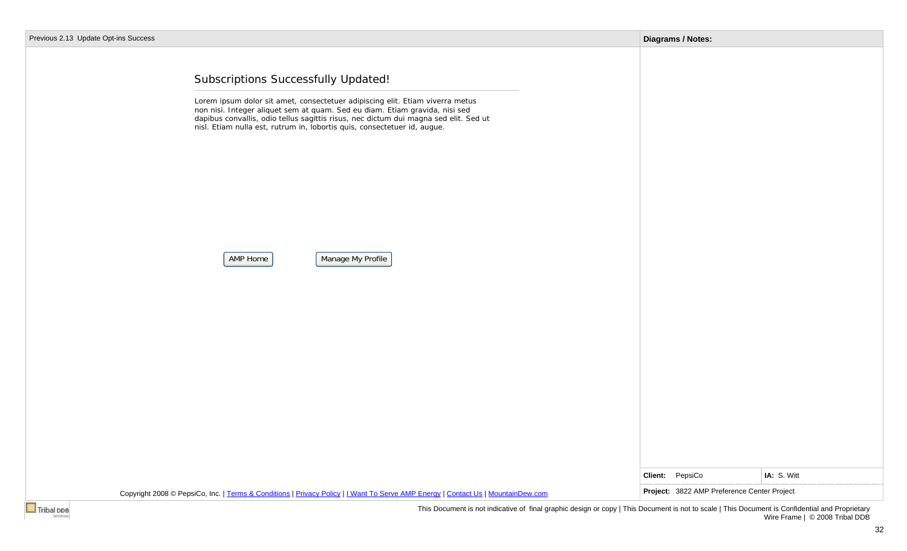| Previous 2.13 Update Opt-ins Success                                                                                                                                                                                                                                                                                                                                                                     | <b>Diagrams / Notes:</b>                    |             |
|----------------------------------------------------------------------------------------------------------------------------------------------------------------------------------------------------------------------------------------------------------------------------------------------------------------------------------------------------------------------------------------------------------|---------------------------------------------|-------------|
| Subscriptions Successfully Updated!<br>Lorem ipsum dolor sit amet, consectetuer adipiscing elit. Etiam viverra metus<br>non nisi. Integer aliquet sem at quam. Sed eu diam. Etiam gravida, nisi sed<br>dapibus convallis, odio tellus sagittis risus, nec dictum dui magna sed elit. Sed ut<br>nisl. Etiam nulla est, rutrum in, lobortis quis, consectetuer id, augue.<br>Manage My Profile<br>AMP Home |                                             |             |
|                                                                                                                                                                                                                                                                                                                                                                                                          |                                             |             |
|                                                                                                                                                                                                                                                                                                                                                                                                          | Client: PepsiCo                             | IA: S. Witt |
| Copyright 2008 © PepsiCo, Inc.   Terms & Conditions   Privacy Policy   I Want To Serve AMP Energy   Contact Us   MountainDew.com                                                                                                                                                                                                                                                                         | Project: 3822 AMP Preference Center Project |             |
| Tribal DDB<br>This Document is not indicative of final graphic design or copy   This Document is not to scale   This Document is Confidential and Proprietary                                                                                                                                                                                                                                            |                                             |             |